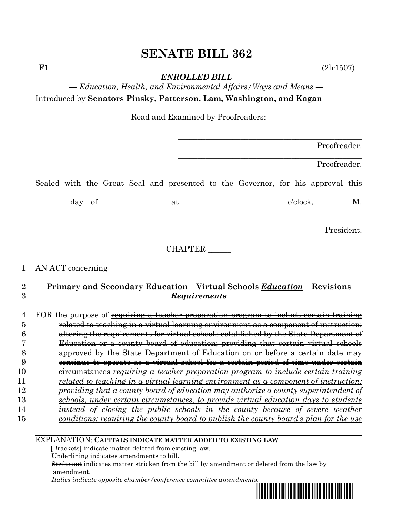$F1$  (2lr1507)

*ENROLLED BILL*

*— Education, Health, and Environmental Affairs/Ways and Means —* Introduced by **Senators Pinsky, Patterson, Lam, Washington, and Kagan**

Read and Examined by Proofreaders:

|                | Proofreader.                                                                           |
|----------------|----------------------------------------------------------------------------------------|
|                | Proofreader.                                                                           |
|                | Sealed with the Great Seal and presented to the Governor, for his approval this        |
|                |                                                                                        |
|                |                                                                                        |
|                | President.                                                                             |
|                |                                                                                        |
|                | CHAPTER                                                                                |
|                |                                                                                        |
| 1              | AN ACT concerning                                                                      |
|                |                                                                                        |
| $\overline{2}$ | Primary and Secondary Education - Virtual Schools Education - Revisions                |
| 3              | <b>Requirements</b>                                                                    |
| 4              | FOR the purpose of requiring a teacher preparation program to include certain training |
| 5              | related to teaching in a virtual learning environment as a component of instruction;   |
| 6              | altering the requirements for virtual schools established by the State Department of   |
| 7              | Education or a county board of education; providing that certain virtual schools       |
| 8              | approved by the State Department of Education on or before a certain date may          |
| 9              | continue to operate as a virtual school for a certain period of time under certain     |
| 10             | eireumstances requiring a teacher preparation program to include certain training      |
| 11             | related to teaching in a virtual learning environment as a component of instruction;   |
| 12             | providing that a county board of education may authorize a county superintendent of    |
| 13             | schools, under certain circumstances, to provide virtual education days to students    |
| 14             | <u>instead of closing the public schools in the county because of severe weather</u>   |
| 15             | conditions; requiring the county board to publish the county board's plan for the use  |

EXPLANATION: **CAPITALS INDICATE MATTER ADDED TO EXISTING LAW**.

 **[**Brackets**]** indicate matter deleted from existing law.

Underlining indicates amendments to bill.

 Strike out indicates matter stricken from the bill by amendment or deleted from the law by amendment.

 *Italics indicate opposite chamber/conference committee amendments.*

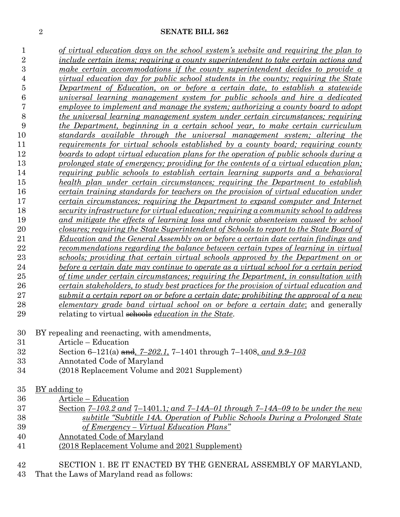| 1              | of virtual education days on the school system's website and requiring the plan to              |
|----------------|-------------------------------------------------------------------------------------------------|
| $\overline{2}$ | <i>include certain items; requiring a county superintendent to take certain actions and</i>     |
| 3              | make certain accommodations if the county superintendent decides to provide a                   |
| 4              | virtual education day for public school students in the county; requiring the State             |
| 5              | Department of Education, on or before a certain date, to establish a statewide                  |
| 6              | universal learning management system for public schools and hire a dedicated                    |
| 7              | <u>employee to implement and manage the system; authorizing a county board to adopt</u>         |
| 8              | the universal learning management system under certain circumstances; requiring                 |
| 9              | the Department, beginning in a certain school year, to make certain curriculum                  |
| 10             | standards available through the universal management system; altering the                       |
| 11             | <u>requirements</u> for virtual schools established by a county board; requiring county         |
| 12             | <u>boards to adopt virtual education plans for the operation of public schools during a</u>     |
| 13             | prolonged state of emergency; providing for the contents of a virtual education plan;           |
| 14             | requiring public schools to establish certain learning supports and a behavioral                |
| 15             | health plan under certain circumstances; requiring the Department to establish                  |
| 16             | <i>certain training standards for teachers on the provision of virtual education under</i>      |
| 17             | <u>certain circumstances; requiring the Department to expand computer and Internet</u>          |
| 18             | security infrastructure for virtual education; requiring a community school to address          |
| 19             | and mitigate the effects of learning loss and chronic absenteeism caused by school              |
| 20             | closures; requiring the State Superintendent of Schools to report to the State Board of         |
| 21             | <u>Education and the General Assembly on or before a certain date certain findings and</u>      |
| 22             | <u>recommendations regarding the balance between certain types of learning in virtual</u>       |
| 23             | schools; providing that certain virtual schools approved by the Department on or                |
| 24             | before a certain date may continue to operate as a virtual school for a certain period          |
| 25             | of time under certain circumstances; requiring the Department, in consultation with             |
| 26             | <i>certain stakeholders, to study best practices for the provision of virtual education and</i> |
| $27\,$         | submit a certain report on or before a certain date; prohibiting the approval of a new          |
| 28             | <i>elementary grade band virtual school on or before a certain date;</i> and generally          |
| 29             | relating to virtual schools education in the State.                                             |
|                |                                                                                                 |

- BY repealing and reenacting, with amendments,
- Article Education
- Section 6–121(a) and*, 7–202.1,* 7–1401 through 7–1408*, and 9.9–103*
- Annotated Code of Maryland
- (2018 Replacement Volume and 2021 Supplement)
- BY adding to
- Article Education
- Section *7–103.2 and* 7–1401.1*; and 7–14A–01 through 7–14A–09 to be under the new subtitle "Subtitle 14A. Operation of Public Schools During a Prolonged State*
- *of Emergency – Virtual Education Plans"*
- Annotated Code of Maryland
- (2018 Replacement Volume and 2021 Supplement)
- SECTION 1. BE IT ENACTED BY THE GENERAL ASSEMBLY OF MARYLAND, That the Laws of Maryland read as follows: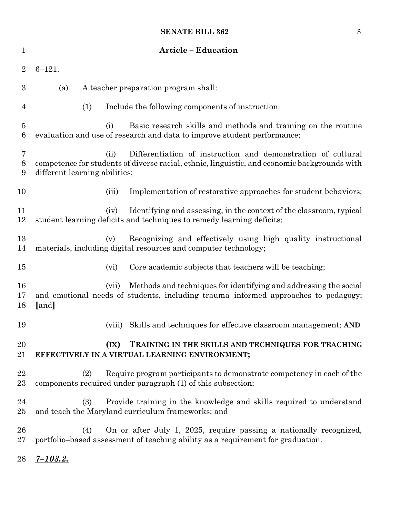| $\mathbf{1}$        |                               | <b>Article - Education</b>                                                                                                                                           |
|---------------------|-------------------------------|----------------------------------------------------------------------------------------------------------------------------------------------------------------------|
| $\overline{2}$      | $6 - 121.$                    |                                                                                                                                                                      |
| 3                   | (a)                           | A teacher preparation program shall:                                                                                                                                 |
| 4                   | (1)                           | Include the following components of instruction:                                                                                                                     |
| $\overline{5}$<br>6 |                               | Basic research skills and methods and training on the routine<br>(i)<br>evaluation and use of research and data to improve student performance;                      |
| 7<br>$8\,$<br>9     | different learning abilities; | Differentiation of instruction and demonstration of cultural<br>(ii)<br>competence for students of diverse racial, ethnic, linguistic, and economic backgrounds with |
| 10                  |                               | Implementation of restorative approaches for student behaviors;<br>(iii)                                                                                             |
| 11<br>12            |                               | Identifying and assessing, in the context of the classroom, typical<br>(iv)<br>student learning deficits and techniques to remedy learning deficits;                 |
| 13<br>14            |                               | Recognizing and effectively using high quality instructional<br>(v)<br>materials, including digital resources and computer technology;                               |
| 15                  |                               | Core academic subjects that teachers will be teaching;<br>(vi)                                                                                                       |
| 16<br>17<br>18      | [and]                         | Methods and techniques for identifying and addressing the social<br>(vii)<br>and emotional needs of students, including trauma-informed approaches to pedagogy;      |
| 19                  |                               | Skills and techniques for effective classroom management; AND<br>(viii)                                                                                              |
| 20<br>21            |                               | TRAINING IN THE SKILLS AND TECHNIQUES FOR TEACHING<br>(IX)<br>EFFECTIVELY IN A VIRTUAL LEARNING ENVIRONMENT;                                                         |
| 22<br>23            | (2)                           | Require program participants to demonstrate competency in each of the<br>components required under paragraph (1) of this subsection;                                 |
| 24<br>$25\,$        | (3)                           | Provide training in the knowledge and skills required to understand<br>and teach the Maryland curriculum frameworks; and                                             |
| 26<br>$27\,$        | (4)                           | On or after July 1, 2025, require passing a nationally recognized,<br>portfolio-based assessment of teaching ability as a requirement for graduation.                |
| 28                  | <u>7–103.2.</u>               |                                                                                                                                                                      |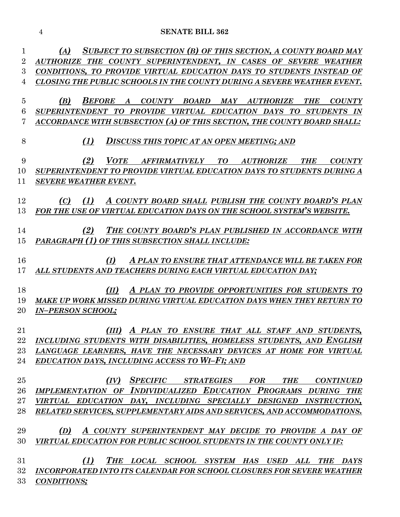| 1              | SUBJECT TO SUBSECTION (B) OF THIS SECTION, A COUNTY BOARD MAY<br>(A)                                                               |
|----------------|------------------------------------------------------------------------------------------------------------------------------------|
| $\overline{2}$ | AUTHORIZE THE COUNTY SUPERINTENDENT, IN CASES OF SEVERE WEATHER                                                                    |
| 3              | CONDITIONS, TO PROVIDE VIRTUAL EDUCATION DAYS TO STUDENTS INSTEAD OF                                                               |
| $\overline{4}$ | CLOSING THE PUBLIC SCHOOLS IN THE COUNTY DURING A SEVERE WEATHER EVENT.                                                            |
|                |                                                                                                                                    |
| 5              | (B)<br><b>BEFORE</b><br>COUNTY BOARD MAY AUTHORIZE<br><b>THE</b><br><b>COUNTY</b><br>$\bm{A}$                                      |
| 6              | SUPERINTENDENT TO PROVIDE VIRTUAL EDUCATION DAYS TO STUDENTS IN                                                                    |
| 7              | ACCORDANCE WITH SUBSECTION (A) OF THIS SECTION, THE COUNTY BOARD SHALL:                                                            |
| 8              | (1)<br><b>DISCUSS THIS TOPIC AT AN OPEN MEETING; AND</b>                                                                           |
| 9              | (2)<br><b>VOTE</b>                                                                                                                 |
| 10             | AFFIRMATIVELY TO AUTHORIZE<br><b>THE</b><br><b>COUNTY</b><br>SUPERINTENDENT TO PROVIDE VIRTUAL EDUCATION DAYS TO STUDENTS DURING A |
| 11             |                                                                                                                                    |
|                | <b>SEVERE WEATHER EVENT.</b>                                                                                                       |
| 12             | A COUNTY BOARD SHALL PUBLISH THE COUNTY BOARD'S PLAN<br>(C)<br>(1)                                                                 |
| 13             | FOR THE USE OF VIRTUAL EDUCATION DAYS ON THE SCHOOL SYSTEM'S WEBSITE.                                                              |
|                |                                                                                                                                    |
| 14             | THE COUNTY BOARD'S PLAN PUBLISHED IN ACCORDANCE WITH<br>(2)                                                                        |
| 15             | PARAGRAPH (1) OF THIS SUBSECTION SHALL INCLUDE:                                                                                    |
|                |                                                                                                                                    |
| 16             | A PLAN TO ENSURE THAT ATTENDANCE WILL BE TAKEN FOR<br>(I)                                                                          |
| 17             | ALL STUDENTS AND TEACHERS DURING EACH VIRTUAL EDUCATION DAY;                                                                       |
|                |                                                                                                                                    |
| 18             | A PLAN TO PROVIDE OPPORTUNITIES FOR STUDENTS TO<br>(II)                                                                            |
| 19             | MAKE UP WORK MISSED DURING VIRTUAL EDUCATION DAYS WHEN THEY RETURN TO                                                              |
| 20             | <b>IN-PERSON SCHOOL;</b>                                                                                                           |
|                |                                                                                                                                    |
| 21             | A PLAN TO ENSURE THAT ALL STAFF AND STUDENTS,<br>(III)                                                                             |
| $22\,$         | INCLUDING STUDENTS WITH DISABILITIES, HOMELESS STUDENTS, AND ENGLISH                                                               |
| $23\,$         | LANGUAGE LEARNERS, HAVE THE NECESSARY DEVICES AT HOME FOR VIRTUAL                                                                  |
| 24             | EDUCATION DAYS, INCLUDING ACCESS TO WI-FI; AND                                                                                     |
|                |                                                                                                                                    |
| 25             | (IV) SPECIFIC STRATEGIES FOR<br>THE CONTINUED<br>IMPLEMENTATION OF INDIVIDUALIZED EDUCATION PROGRAMS DURING THE                    |
| 26             |                                                                                                                                    |
| $27\,$         | VIRTUAL EDUCATION DAY, INCLUDING SPECIALLY DESIGNED INSTRUCTION,                                                                   |
| $28\,$         | RELATED SERVICES, SUPPLEMENTARY AIDS AND SERVICES, AND ACCOMMODATIONS.                                                             |
| 29             | (D) A COUNTY SUPERINTENDENT MAY DECIDE TO PROVIDE A DAY OF                                                                         |
| 30             | VIRTUAL EDUCATION FOR PUBLIC SCHOOL STUDENTS IN THE COUNTY ONLY IF:                                                                |
|                |                                                                                                                                    |
| $31\,$         | (1)<br>THE LOCAL SCHOOL SYSTEM HAS USED ALL THE DAYS                                                                               |
| $32\,$         | INCORPORATED INTO ITS CALENDAR FOR SCHOOL CLOSURES FOR SEVERE WEATHER                                                              |
| $33\,$         | <b>CONDITIONS;</b>                                                                                                                 |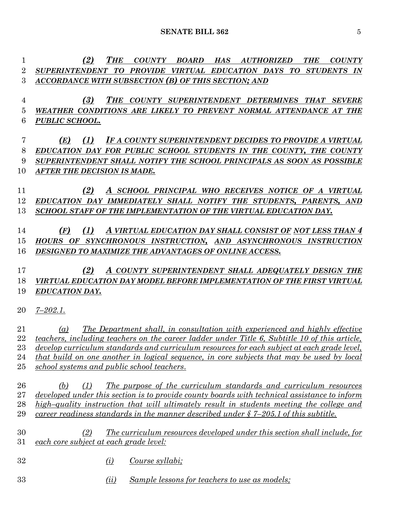*(2) THE COUNTY BOARD HAS AUTHORIZED THE COUNTY SUPERINTENDENT TO PROVIDE VIRTUAL EDUCATION DAYS TO STUDENTS IN ACCORDANCE WITH SUBSECTION (B) OF THIS SECTION; AND (3) THE COUNTY SUPERINTENDENT DETERMINES THAT SEVERE WEATHER CONDITIONS ARE LIKELY TO PREVENT NORMAL ATTENDANCE AT THE PUBLIC SCHOOL. (E) (1) IF A COUNTY SUPERINTENDENT DECIDES TO PROVIDE A VIRTUAL EDUCATION DAY FOR PUBLIC SCHOOL STUDENTS IN THE COUNTY, THE COUNTY SUPERINTENDENT SHALL NOTIFY THE SCHOOL PRINCIPALS AS SOON AS POSSIBLE AFTER THE DECISION IS MADE. (2) A SCHOOL PRINCIPAL WHO RECEIVES NOTICE OF A VIRTUAL EDUCATION DAY IMMEDIATELY SHALL NOTIFY THE STUDENTS, PARENTS, AND SCHOOL STAFF OF THE IMPLEMENTATION OF THE VIRTUAL EDUCATION DAY. (F) (1) A VIRTUAL EDUCATION DAY SHALL CONSIST OF NOT LESS THAN 4 HOURS OF SYNCHRONOUS INSTRUCTION, AND ASYNCHRONOUS INSTRUCTION DESIGNED TO MAXIMIZE THE ADVANTAGES OF ONLINE ACCESS. (2) A COUNTY SUPERINTENDENT SHALL ADEQUATELY DESIGN THE VIRTUAL EDUCATION DAY MODEL BEFORE IMPLEMENTATION OF THE FIRST VIRTUAL EDUCATION DAY. 7–202.1. (a) The Department shall, in consultation with experienced and highly effective teachers, including teachers on the career ladder under Title 6, Subtitle 10 of this article, develop curriculum standards and curriculum resources for each subject at each grade level, that build on one another in logical sequence, in core subjects that may be used by local school systems and public school teachers*. *(b) (1) The purpose of the curriculum standards and curriculum resources developed under this section is to provide county boards with technical assistance to inform high–quality instruction that will ultimately result in students meeting the college and career readiness standards in the manner described under § 7–205.1 of this subtitle. (2) The curriculum resources developed under this section shall include, for each core subject at each grade level: (i) Course syllabi; (ii) Sample lessons for teachers to use as models;*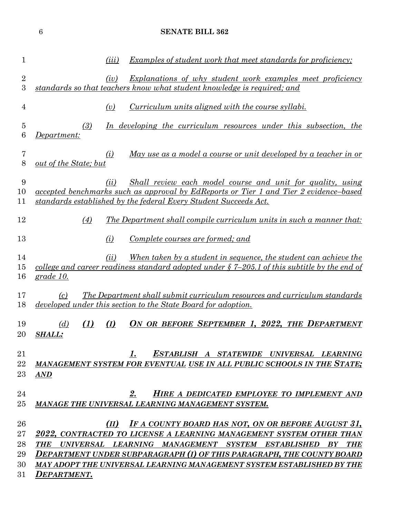| <b>SENATE BILL 362</b> |
|------------------------|

| 1                    | Examples of student work that meet standards for proficiency;<br>(iii)                                                                                                                                                                                                                 |
|----------------------|----------------------------------------------------------------------------------------------------------------------------------------------------------------------------------------------------------------------------------------------------------------------------------------|
| $\overline{2}$<br>3  | <u>Explanations of why student work examples meet proficiency</u><br>(iv)<br>standards so that teachers know what student knowledge is required; and                                                                                                                                   |
| $\overline{4}$       | Curriculum units aligned with the course syllabi.<br>(v)                                                                                                                                                                                                                               |
| $\overline{5}$<br>6  | (3)<br>In developing the curriculum resources under this subsection, the<br>Department:                                                                                                                                                                                                |
| 7<br>8               | <u>May use as a model a course or unit developed by a teacher in or</u><br>(i)<br>out of the State; but                                                                                                                                                                                |
| 9<br>10<br>11        | Shall review each model course and unit for quality, using<br>(ii)<br>accepted benchmarks such as approval by EdReports or Tier 1 and Tier 2 evidence-based<br>standards established by the federal Every Student Succeeds Act.                                                        |
| 12                   | (4)<br>The Department shall compile curriculum units in such a manner that:                                                                                                                                                                                                            |
| 13                   | (i)<br>Complete courses are formed; and                                                                                                                                                                                                                                                |
| 14<br>15<br>16       | When taken by a student in sequence, the student can achieve the<br>(ii)<br>college and career readiness standard adopted under $\zeta$ 7-205.1 of this subtitle by the end of<br>grade 10.                                                                                            |
| 17<br>18             | <u>The Department shall submit curriculum resources and curriculum standards</u><br>(c)<br>developed under this section to the State Board for adoption.                                                                                                                               |
| 19<br>20             | ON OR BEFORE SEPTEMBER 1, 2022, THE DEPARTMENT<br>(1)<br>(I)<br>(d)<br><b>SHALL:</b>                                                                                                                                                                                                   |
| 21<br>22<br>23       | ESTABLISH A STATEWIDE UNIVERSAL LEARNING<br>1.<br>MANAGEMENT SYSTEM FOR EVENTUAL USE IN ALL PUBLIC SCHOOLS IN THE STATE;<br><b>AND</b>                                                                                                                                                 |
| 24<br>25             | 2.<br>HIRE A DEDICATED EMPLOYEE TO IMPLEMENT AND<br>MANAGE THE UNIVERSAL LEARNING MANAGEMENT SYSTEM.                                                                                                                                                                                   |
| 26<br>27<br>28<br>29 | IF A COUNTY BOARD HAS NOT, ON OR BEFORE AUGUST 31,<br>(II)<br>2022, CONTRACTED TO LICENSE A LEARNING MANAGEMENT SYSTEM OTHER THAN<br><b>THE</b><br>UNIVERSAL LEARNING MANAGEMENT SYSTEM ESTABLISHED<br>BY THE<br>DEPARTMENT UNDER SUBPARAGRAPH (I) OF THIS PARAGRAPH, THE COUNTY BOARD |
| 30<br>31             | MAY ADOPT THE UNIVERSAL LEARNING MANAGEMENT SYSTEM ESTABLISHED BY THE<br>DEPARTMENT.                                                                                                                                                                                                   |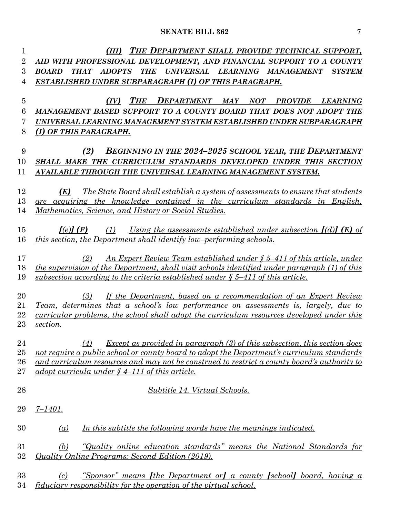| 1              | (III) THE DEPARTMENT SHALL PROVIDE TECHNICAL SUPPORT,                                              |
|----------------|----------------------------------------------------------------------------------------------------|
| 2              | AID WITH PROFESSIONAL DEVELOPMENT, AND FINANCIAL SUPPORT TO A COUNTY                               |
| 3              | UNIVERSAL LEARNING MANAGEMENT<br>THAT ADOPTS<br><b>THE</b><br><b>BOARD</b><br>SYSTEM               |
| 4              | ESTABLISHED UNDER SUBPARAGRAPH (I) OF THIS PARAGRAPH.                                              |
| $\overline{5}$ | THE DEPARTMENT MAY NOT<br>(IV)<br><b>PROVIDE</b><br><b>LEARNING</b>                                |
| 6              | MANAGEMENT BASED SUPPORT TO A COUNTY BOARD THAT DOES NOT ADOPT THE                                 |
| 7              | UNIVERSAL LEARNING MANAGEMENT SYSTEM ESTABLISHED UNDER SUBPARAGRAPH                                |
| 8              | (I) OF THIS PARAGRAPH.                                                                             |
| 9              | <b>BEGINNING IN THE 2024-2025 SCHOOL YEAR, THE DEPARTMENT</b><br>(2)                               |
| 10             | SHALL MAKE THE CURRICULUM STANDARDS DEVELOPED UNDER THIS SECTION                                   |
| 11             | AVAILABLE THROUGH THE UNIVERSAL LEARNING MANAGEMENT SYSTEM.                                        |
| 12             | The State Board shall establish a system of assessments to ensure that students<br>(E)             |
| 13             | are acquiring the knowledge contained in the curriculum standards in English,                      |
| 14             | Mathematics, Science, and History or Social Studies.                                               |
| 15             | Using the assessments established under subsection $[(d)]$ (E) of<br>[(e)](F)<br>(1)               |
| 16             | this section, the Department shall identify low-performing schools.                                |
| 17             | <u>An Expert Review Team established under <math>\S</math> 5–411 of this article, under</u><br>(2) |
| 18             | the supervision of the Department, shall visit schools identified under paragraph (1) of this      |
| 19             | subsection according to the criteria established under $\S$ 5-411 of this article.                 |
| 20             | If the Department, based on a recommendation of an Expert Review<br>(3)                            |
| 21             | <u>Team, determines that a school's low performance on assessments is, largely, due to</u>         |
| 22             | curricular problems, the school shall adopt the curriculum resources developed under this          |
| 23             | section.                                                                                           |
| 24             | <u>Except as provided in paragraph (3) of this subsection, this section does</u><br>(4)            |
| 25             | not require a public school or county board to adopt the Department's curriculum standards         |
| 26             | and curriculum resources and may not be construed to restrict a county board's authority to        |
| 27             | adopt curricula under $\S$ 4-111 of this article.                                                  |
| 28             | Subtitle 14. Virtual Schools.                                                                      |
| 29             | $7 - 1401.$                                                                                        |
| 30             | In this subtitle the following words have the meanings indicated.<br>(a)                           |
| 31             | "Quality online education standards" means the National Standards for<br>(b)                       |
| 32             | Quality Online Programs: Second Edition (2019).                                                    |
|                |                                                                                                    |
| 33             | <u>"Sponsor" means <i>(the Department or)</i></u> a county <i>[school]</i> board, having a<br>(c)  |
| 34             | <i>fiduciary responsibility for the operation of the virtual school.</i>                           |
|                |                                                                                                    |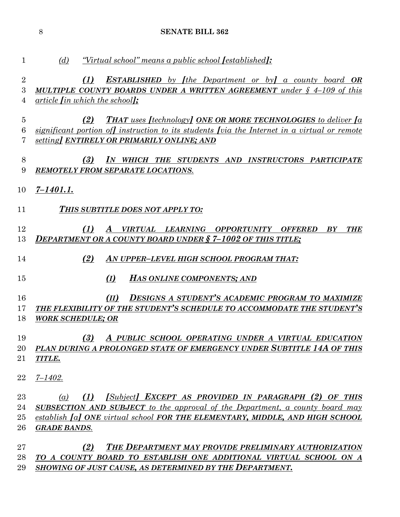| $\mathbf{1}$             | <u>"Virtual school" means a public school [established]:</u><br>(d)                                                                                                                                                                                               |
|--------------------------|-------------------------------------------------------------------------------------------------------------------------------------------------------------------------------------------------------------------------------------------------------------------|
| $\overline{2}$<br>3<br>4 | (1)<br><b>ESTABLISHED</b> by <i>[the Department or by] a county board OR</i><br><b>MULTIPLE COUNTY BOARDS UNDER A WRITTEN AGREEMENT</b> under § 4-109 of this<br>article <i>fin</i> which the school <b>]</b> ;                                                   |
| $\overline{5}$<br>6<br>7 | <b>THAT</b> uses <i>[technology]</i> ONE OR MORE TECHNOLOGIES to deliver [a]<br>(2)<br>significant portion of <i>instruction</i> to its students <i>[via the Internet in a virtual or remote</i><br>setting] ENTIRELY OR PRIMARILY ONLINE; AND                    |
| 8<br>9                   | (3)<br>IN WHICH THE STUDENTS AND INSTRUCTORS PARTICIPATE<br>REMOTELY FROM SEPARATE LOCATIONS.                                                                                                                                                                     |
| 10                       | $7 - 1401.1.$                                                                                                                                                                                                                                                     |
| 11                       | THIS SUBTITLE DOES NOT APPLY TO:                                                                                                                                                                                                                                  |
| 12<br>13                 | (1)<br>VIRTUAL LEARNING OPPORTUNITY<br>$\boldsymbol{A}$<br><i><b>OFFERED</b></i><br>BY<br><b>THE</b><br><b>DEPARTMENT OR A COUNTY BOARD UNDER § 7-1002 OF THIS TITLE;</b>                                                                                         |
| 14                       | (2)<br>AN UPPER-LEVEL HIGH SCHOOL PROGRAM THAT:                                                                                                                                                                                                                   |
| 15                       | (I)<br>HAS ONLINE COMPONENTS; AND                                                                                                                                                                                                                                 |
| 16<br>17                 | <b>DESIGNS A STUDENT'S ACADEMIC PROGRAM TO MAXIMIZE</b><br>(II)<br>THE FLEXIBILITY OF THE STUDENT'S SCHEDULE TO ACCOMMODATE THE STUDENT'S                                                                                                                         |
| 18                       | <b>WORK SCHEDULE; OR</b>                                                                                                                                                                                                                                          |
| 19<br>20<br>21           | (3)<br>A PUBLIC SCHOOL OPERATING UNDER A VIRTUAL EDUCATION<br>PLAN DURING A PROLONGED STATE OF EMERGENCY UNDER SUBTITLE 14A OF THIS<br>TITLE.                                                                                                                     |
| 22                       | $7 - 1402.$                                                                                                                                                                                                                                                       |
| 23<br>24<br>25<br>26     | [Subject] EXCEPT AS PROVIDED IN PARAGRAPH (2) OF THIS<br>(1)<br>(a)<br><b>SUBSECTION AND SUBJECT</b> to the approval of the Department, a county board may<br>establish [a] ONE virtual school FOR THE ELEMENTARY, MIDDLE, AND HIGH SCHOOL<br><b>GRADE BANDS.</b> |
| $27\,$                   | THE DEPARTMENT MAY PROVIDE PRELIMINARY AUTHORIZATION<br>(2)                                                                                                                                                                                                       |
| 28                       | TO A COUNTY BOARD TO ESTABLISH ONE ADDITIONAL VIRTUAL SCHOOL ON A                                                                                                                                                                                                 |

*SHOWING OF JUST CAUSE, AS DETERMINED BY THE DEPARTMENT.*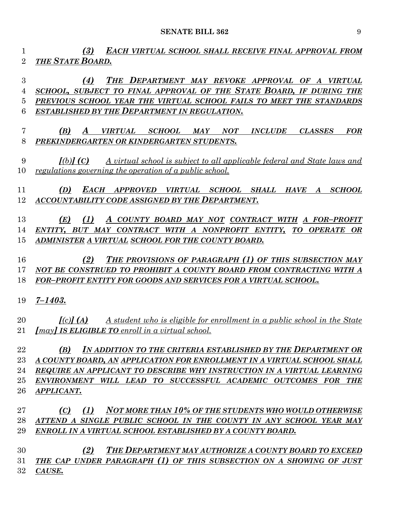*(3) EACH VIRTUAL SCHOOL SHALL RECEIVE FINAL APPROVAL FROM THE STATE BOARD.*

 *(4) THE DEPARTMENT MAY REVOKE APPROVAL OF A VIRTUAL SCHOOL, SUBJECT TO FINAL APPROVAL OF THE STATE BOARD, IF DURING THE PREVIOUS SCHOOL YEAR THE VIRTUAL SCHOOL FAILS TO MEET THE STANDARDS ESTABLISHED BY THE DEPARTMENT IN REGULATION.*

 *(B) A VIRTUAL SCHOOL MAY NOT INCLUDE CLASSES FOR PREKINDERGARTEN OR KINDERGARTEN STUDENTS.*

 *[(b)] (C) A virtual school is subject to all applicable federal and State laws and regulations governing the operation of a public school.*

# *(D) EACH APPROVED VIRTUAL SCHOOL SHALL HAVE A SCHOOL ACCOUNTABILITY CODE ASSIGNED BY THE DEPARTMENT.*

 *(E) (1) A COUNTY BOARD MAY NOT CONTRACT WITH A FOR–PROFIT ENTITY, BUT MAY CONTRACT WITH A NONPROFIT ENTITY, TO OPERATE OR ADMINISTER A VIRTUAL SCHOOL FOR THE COUNTY BOARD.*

### *(2) THE PROVISIONS OF PARAGRAPH (1) OF THIS SUBSECTION MAY NOT BE CONSTRUED TO PROHIBIT A COUNTY BOARD FROM CONTRACTING WITH A FOR–PROFIT ENTITY FOR GOODS AND SERVICES FOR A VIRTUAL SCHOOL.*

*7–1403.*

 *[(c)] (A) A student who is eligible for enrollment in a public school in the State [may] IS ELIGIBLE TO enroll in a virtual school.*

 *(B) IN ADDITION TO THE CRITERIA ESTABLISHED BY THE DEPARTMENT OR A COUNTY BOARD, AN APPLICATION FOR ENROLLMENT IN A VIRTUAL SCHOOL SHALL REQUIRE AN APPLICANT TO DESCRIBE WHY INSTRUCTION IN A VIRTUAL LEARNING ENVIRONMENT WILL LEAD TO SUCCESSFUL ACADEMIC OUTCOMES FOR THE APPLICANT.*

 *(C) (1) NOT MORE THAN 10% OF THE STUDENTS WHO WOULD OTHERWISE ATTEND A SINGLE PUBLIC SCHOOL IN THE COUNTY IN ANY SCHOOL YEAR MAY ENROLL IN A VIRTUAL SCHOOL ESTABLISHED BY A COUNTY BOARD.*

 *(2) THE DEPARTMENT MAY AUTHORIZE A COUNTY BOARD TO EXCEED THE CAP UNDER PARAGRAPH (1) OF THIS SUBSECTION ON A SHOWING OF JUST CAUSE.*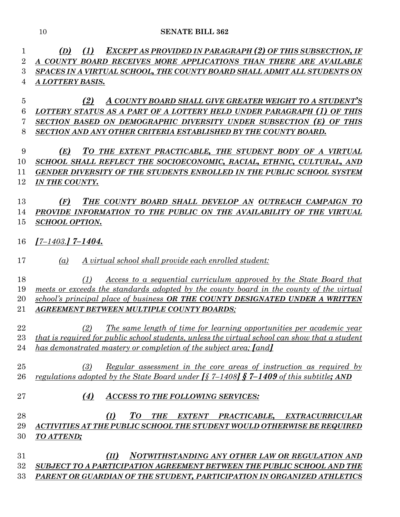*(D) (1) EXCEPT AS PROVIDED IN PARAGRAPH (2) OF THIS SUBSECTION, IF A COUNTY BOARD RECEIVES MORE APPLICATIONS THAN THERE ARE AVAILABLE SPACES IN A VIRTUAL SCHOOL, THE COUNTY BOARD SHALL ADMIT ALL STUDENTS ON A LOTTERY BASIS.*

 *(2) A COUNTY BOARD SHALL GIVE GREATER WEIGHT TO A STUDENT'S LOTTERY STATUS AS A PART OF A LOTTERY HELD UNDER PARAGRAPH (1) OF THIS SECTION BASED ON DEMOGRAPHIC DIVERSITY UNDER SUBSECTION (E) OF THIS SECTION AND ANY OTHER CRITERIA ESTABLISHED BY THE COUNTY BOARD.*

 *(E) TO THE EXTENT PRACTICABLE, THE STUDENT BODY OF A VIRTUAL SCHOOL SHALL REFLECT THE SOCIOECONOMIC, RACIAL, ETHNIC, CULTURAL, AND GENDER DIVERSITY OF THE STUDENTS ENROLLED IN THE PUBLIC SCHOOL SYSTEM IN THE COUNTY.*

# *(F) THE COUNTY BOARD SHALL DEVELOP AN OUTREACH CAMPAIGN TO PROVIDE INFORMATION TO THE PUBLIC ON THE AVAILABILITY OF THE VIRTUAL SCHOOL OPTION.*

*[7–1403.] 7–1404.*

*(a) A virtual school shall provide each enrolled student:*

 *(1) Access to a sequential curriculum approved by the State Board that meets or exceeds the standards adopted by the county board in the county of the virtual school's principal place of business OR THE COUNTY DESIGNATED UNDER A WRITTEN AGREEMENT BETWEEN MULTIPLE COUNTY BOARDS;*

 *(2) The same length of time for learning opportunities per academic year that is required for public school students, unless the virtual school can show that a student has demonstrated mastery or completion of the subject area; [and]*

- *(3) Regular assessment in the core areas of instruction as required by regulations adopted by the State Board under [§ 7–1408] § 7–1409 of this subtitle; AND*
- *(4) ACCESS TO THE FOLLOWING SERVICES:*

# *(I) TO THE EXTENT PRACTICABLE, EXTRACURRICULAR ACTIVITIES AT THE PUBLIC SCHOOL THE STUDENT WOULD OTHERWISE BE REQUIRED TO ATTEND;*

 *(II) NOTWITHSTANDING ANY OTHER LAW OR REGULATION AND SUBJECT TO A PARTICIPATION AGREEMENT BETWEEN THE PUBLIC SCHOOL AND THE PARENT OR GUARDIAN OF THE STUDENT, PARTICIPATION IN ORGANIZED ATHLETICS*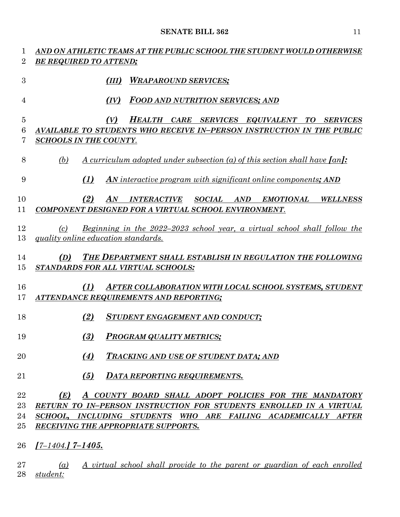| 1              | AND ON ATHLETIC TEAMS AT THE PUBLIC SCHOOL THE STUDENT WOULD OTHERWISE                         |
|----------------|------------------------------------------------------------------------------------------------|
| $\overline{2}$ | <b>BE REQUIRED TO ATTEND;</b>                                                                  |
| 3              | <b>WRAPAROUND SERVICES;</b><br>(III)                                                           |
| 4              | <b>FOOD AND NUTRITION SERVICES; AND</b><br>(IV)                                                |
| $\overline{5}$ | HEALTH CARE SERVICES EQUIVALENT TO<br>(V)<br><b>SERVICES</b>                                   |
| 6              | AVAILABLE TO STUDENTS WHO RECEIVE IN-PERSON INSTRUCTION IN THE PUBLIC                          |
| 7              | <b>SCHOOLS IN THE COUNTY.</b>                                                                  |
|                |                                                                                                |
| 8              | (b)<br><u>A curriculum adopted under subsection (a) of this section shall have [an]</u> :      |
| 9              | (1)<br><b>AN</b> interactive program with significant online components; AND                   |
| 10             | (2)<br>AN<br>INTERACTIVE SOCIAL AND<br><b>EMOTIONAL</b><br><b>WELLNESS</b>                     |
| 11             | COMPONENT DESIGNED FOR A VIRTUAL SCHOOL ENVIRONMENT.                                           |
|                |                                                                                                |
| 12             | Beginning in the 2022–2023 school year, a virtual school shall follow the<br>(c)               |
| 13             | quality online education standards.                                                            |
|                |                                                                                                |
| 14             | THE DEPARTMENT SHALL ESTABLISH IN REGULATION THE FOLLOWING<br>(D)                              |
| 15             | STANDARDS FOR ALL VIRTUAL SCHOOLS:                                                             |
|                |                                                                                                |
| 16             | (1)<br><b>AFTER COLLABORATION WITH LOCAL SCHOOL SYSTEMS, STUDENT</b>                           |
| 17             | ATTENDANCE REQUIREMENTS AND REPORTING;                                                         |
| 18             | (2)<br>STUDENT ENGAGEMENT AND CONDUCT;                                                         |
| 19             | (3)<br><b>PROGRAM QUALITY METRICS;</b>                                                         |
| 20             | (4)<br>TRACKING AND USE OF STUDENT DATA; AND                                                   |
| 21             | (5)<br>DATA REPORTING REQUIREMENTS.                                                            |
| 22             | (E)<br>A COUNTY BOARD SHALL ADOPT POLICIES FOR THE MANDATORY                                   |
| 23             | RETURN TO IN-PERSON INSTRUCTION FOR STUDENTS ENROLLED IN A VIRTUAL                             |
| 24             | SCHOOL, INCLUDING STUDENTS WHO ARE FAILING ACADEMICALLY AFTER                                  |
| 25             | RECEIVING THE APPROPRIATE SUPPORTS.                                                            |
|                |                                                                                                |
| 26             | $[7 - 1404]$ 7-1405.                                                                           |
| 27             | A virtual school shall provide to the parent or guardian of each enrolled<br>$\left( a\right)$ |
| 28             | student:                                                                                       |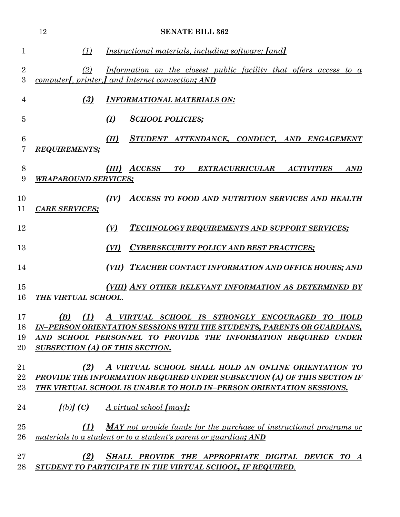|                       | 12                          | <b>SENATE BILL 362</b>                                                                                                                                                                                                                     |
|-----------------------|-----------------------------|--------------------------------------------------------------------------------------------------------------------------------------------------------------------------------------------------------------------------------------------|
| 1                     | (1)                         | <i>Instructional materials, including software; [and]</i>                                                                                                                                                                                  |
| $\boldsymbol{2}$<br>3 | (2)                         | Information on the closest public facility that offers access to $\alpha$<br>computer[, printer,] and Internet connection; AND                                                                                                             |
| 4                     | (3)                         | <b>INFORMATIONAL MATERIALS ON:</b>                                                                                                                                                                                                         |
| 5                     |                             | (I)<br><b>SCHOOL POLICIES;</b>                                                                                                                                                                                                             |
| 6<br>7                | <b>REQUIREMENTS;</b>        | (II)<br>STUDENT ATTENDANCE, CONDUCT, AND ENGAGEMENT                                                                                                                                                                                        |
| 8<br>9                | <b>WRAPAROUND SERVICES;</b> | (III) ACCESS<br>TO<br>EXTRACURRICULAR ACTIVITIES<br><b>AND</b>                                                                                                                                                                             |
| 10<br>11              | <b>CARE SERVICES;</b>       | (IV)<br>ACCESS TO FOOD AND NUTRITION SERVICES AND HEALTH                                                                                                                                                                                   |
| 12                    |                             | (V)<br>TECHNOLOGY REQUIREMENTS AND SUPPORT SERVICES;                                                                                                                                                                                       |
| 13                    |                             | (VI)<br>CYBERSECURITY POLICY AND BEST PRACTICES;                                                                                                                                                                                           |
| 14                    |                             | (VII) TEACHER CONTACT INFORMATION AND OFFICE HOURS; AND                                                                                                                                                                                    |
| 15<br>16              | THE VIRTUAL SCHOOL.         | (VIII) ANY OTHER RELEVANT INFORMATION AS DETERMINED BY                                                                                                                                                                                     |
| 17<br>18<br>19<br>20  | (B)                         | (1) A VIRTUAL SCHOOL IS STRONGLY ENCOURAGED TO HOLD<br>IN-PERSON ORIENTATION SESSIONS WITH THE STUDENTS, PARENTS OR GUARDIANS,<br>AND SCHOOL PERSONNEL TO PROVIDE THE INFORMATION REQUIRED UNDER<br><b>SUBSECTION (A) OF THIS SECTION.</b> |
| 21                    | (2)                         | A VIRTUAL SCHOOL SHALL HOLD AN ONLINE ORIENTATION TO                                                                                                                                                                                       |
| 22                    |                             | PROVIDE THE INFORMATION REQUIRED UNDER SUBSECTION (A) OF THIS SECTION IF                                                                                                                                                                   |
| 23                    |                             | <b>THE VIRTUAL SCHOOL IS UNABLE TO HOLD IN-PERSON ORIENTATION SESSIONS.</b>                                                                                                                                                                |
| 24                    | $[(b)]$ $(C)$               | $\Delta$ virtual school $\text{[may]}$ :                                                                                                                                                                                                   |
| 25                    | (1)                         | <b>MAY</b> not provide funds for the purchase of instructional programs or                                                                                                                                                                 |
| 26                    |                             | materials to a student or to a student's parent or guardian; AND                                                                                                                                                                           |
| 27                    | (2)                         | SHALL PROVIDE THE APPROPRIATE DIGITAL DEVICE TO A                                                                                                                                                                                          |
| 28                    |                             | STUDENT TO PARTICIPATE IN THE VIRTUAL SCHOOL, IF REQUIRED.                                                                                                                                                                                 |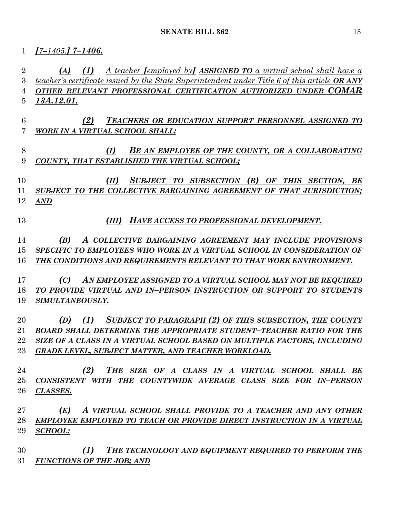*(A) (1) A teacher [employed by] ASSIGNED TO a virtual school shall have a* 

# *[7–1405.] 7–1406.*

 *teacher's certificate issued by the State Superintendent under Title 6 of this article OR ANY OTHER RELEVANT PROFESSIONAL CERTIFICATION AUTHORIZED UNDER COMAR 13A.12.01. (2) TEACHERS OR EDUCATION SUPPORT PERSONNEL ASSIGNED TO WORK IN A VIRTUAL SCHOOL SHALL: (I) BE AN EMPLOYEE OF THE COUNTY, OR A COLLABORATING COUNTY, THAT ESTABLISHED THE VIRTUAL SCHOOL; (II) SUBJECT TO SUBSECTION (B) OF THIS SECTION, BE SUBJECT TO THE COLLECTIVE BARGAINING AGREEMENT OF THAT JURISDICTION; AND (III) HAVE ACCESS TO PROFESSIONAL DEVELOPMENT. (B) A COLLECTIVE BARGAINING AGREEMENT MAY INCLUDE PROVISIONS SPECIFIC TO EMPLOYEES WHO WORK IN A VIRTUAL SCHOOL IN CONSIDERATION OF THE CONDITIONS AND REQUIREMENTS RELEVANT TO THAT WORK ENVIRONMENT. (C) AN EMPLOYEE ASSIGNED TO A VIRTUAL SCHOOL MAY NOT BE REQUIRED TO PROVIDE VIRTUAL AND IN–PERSON INSTRUCTION OR SUPPORT TO STUDENTS SIMULTANEOUSLY. (D) (1) SUBJECT TO PARAGRAPH (2) OF THIS SUBSECTION, THE COUNTY BOARD SHALL DETERMINE THE APPROPRIATE STUDENT–TEACHER RATIO FOR THE SIZE OF A CLASS IN A VIRTUAL SCHOOL BASED ON MULTIPLE FACTORS, INCLUDING GRADE LEVEL, SUBJECT MATTER, AND TEACHER WORKLOAD. (2) THE SIZE OF A CLASS IN A VIRTUAL SCHOOL SHALL BE CONSISTENT WITH THE COUNTYWIDE AVERAGE CLASS SIZE FOR IN–PERSON CLASSES. (E) A VIRTUAL SCHOOL SHALL PROVIDE TO A TEACHER AND ANY OTHER EMPLOYEE EMPLOYED TO TEACH OR PROVIDE DIRECT INSTRUCTION IN A VIRTUAL SCHOOL: (1) THE TECHNOLOGY AND EQUIPMENT REQUIRED TO PERFORM THE* 

*FUNCTIONS OF THE JOB; AND*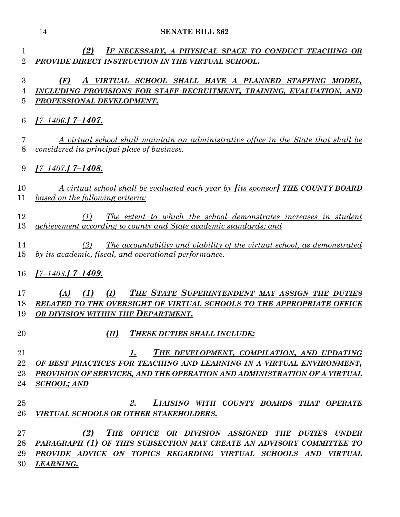*(2) IF NECESSARY, A PHYSICAL SPACE TO CONDUCT TEACHING OR PROVIDE DIRECT INSTRUCTION IN THE VIRTUAL SCHOOL.*

# *(F) A VIRTUAL SCHOOL SHALL HAVE A PLANNED STAFFING MODEL, INCLUDING PROVISIONS FOR STAFF RECRUITMENT, TRAINING, EVALUATION, AND PROFESSIONAL DEVELOPMENT.*

# *[7–1406.] 7–1407.*

 *A virtual school shall maintain an administrative office in the State that shall be considered its principal place of business.*

# *[7–1407.] 7–1408.*

 *A virtual school shall be evaluated each year by [its sponsor] THE COUNTY BOARD based on the following criteria:*

 *(1) The extent to which the school demonstrates increases in student achievement according to county and State academic standards; and*

 *(2) The accountability and viability of the virtual school, as demonstrated by its academic, fiscal, and operational performance.*

# *[7–1408.] 7–1409.*

 *(A) (1) (I) THE STATE SUPERINTENDENT MAY ASSIGN THE DUTIES RELATED TO THE OVERSIGHT OF VIRTUAL SCHOOLS TO THE APPROPRIATE OFFICE*  19 OR DIVISION WITHIN THE **DEPARTMENT**.

- 
- *(II) THESE DUTIES SHALL INCLUDE:*

 *1. THE DEVELOPMENT, COMPILATION, AND UPDATING OF BEST PRACTICES FOR TEACHING AND LEARNING IN A VIRTUAL ENVIRONMENT, PROVISION OF SERVICES, AND THE OPERATION AND ADMINISTRATION OF A VIRTUAL SCHOOL; AND*

 *2. LIAISING WITH COUNTY BOARDS THAT OPERATE VIRTUAL SCHOOLS OR OTHER STAKEHOLDERS.*

 *(2) THE OFFICE OR DIVISION ASSIGNED THE DUTIES UNDER PARAGRAPH (1) OF THIS SUBSECTION MAY CREATE AN ADVISORY COMMITTEE TO PROVIDE ADVICE ON TOPICS REGARDING VIRTUAL SCHOOLS AND VIRTUAL LEARNING.*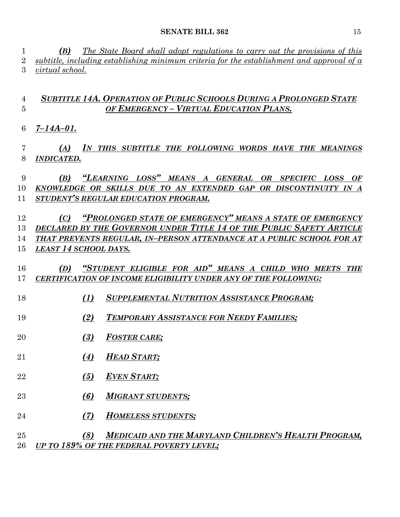*(B) The State Board shall adopt regulations to carry out the provisions of this subtitle, including establishing minimum criteria for the establishment and approval of a virtual school.*

### *SUBTITLE 14A. OPERATION OF PUBLIC SCHOOLS DURING A PROLONGED STATE OF EMERGENCY – VIRTUAL EDUCATION PLANS.*

*7–14A–01.*

 *(A) IN THIS SUBTITLE THE FOLLOWING WORDS HAVE THE MEANINGS INDICATED.*

 *(B) "LEARNING LOSS" MEANS A GENERAL OR SPECIFIC LOSS OF KNOWLEDGE OR SKILLS DUE TO AN EXTENDED GAP OR DISCONTINUITY IN A STUDENT'S REGULAR EDUCATION PROGRAM.*

 *(C) "PROLONGED STATE OF EMERGENCY" MEANS A STATE OF EMERGENCY DECLARED BY THE GOVERNOR UNDER TITLE 14 OF THE PUBLIC SAFETY ARTICLE THAT PREVENTS REGULAR, IN–PERSON ATTENDANCE AT A PUBLIC SCHOOL FOR AT LEAST 14 SCHOOL DAYS.*

 *(D) "STUDENT ELIGIBLE FOR AID" MEANS A CHILD WHO MEETS THE CERTIFICATION OF INCOME ELIGIBILITY UNDER ANY OF THE FOLLOWING:*

- *(1) SUPPLEMENTAL NUTRITION ASSISTANCE PROGRAM;*
- *(2) TEMPORARY ASSISTANCE FOR NEEDY FAMILIES;*
- *(3) FOSTER CARE;*
- *(4) HEAD START;*
- *(5) EVEN START;*
- *(6) MIGRANT STUDENTS;*
- *(7) HOMELESS STUDENTS;*
- *(8) MEDICAID AND THE MARYLAND CHILDREN'S HEALTH PROGRAM, UP TO 189% OF THE FEDERAL POVERTY LEVEL;*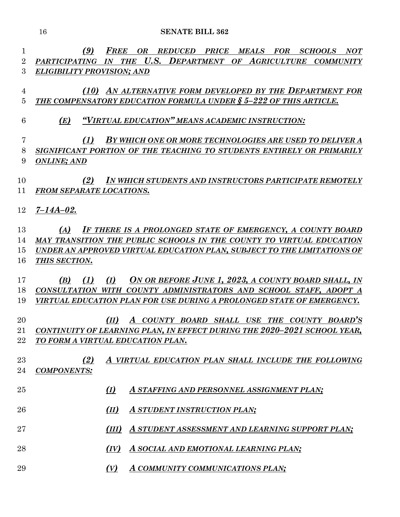*(9) FREE OR REDUCED PRICE MEALS FOR SCHOOLS NOT PARTICIPATING IN THE U.S. DEPARTMENT OF AGRICULTURE COMMUNITY ELIGIBILITY PROVISION; AND*

 *(10) AN ALTERNATIVE FORM DEVELOPED BY THE DEPARTMENT FOR THE COMPENSATORY EDUCATION FORMULA UNDER § 5–222 OF THIS ARTICLE.*

*(E) "VIRTUAL EDUCATION" MEANS ACADEMIC INSTRUCTION:*

 *(1) BY WHICH ONE OR MORE TECHNOLOGIES ARE USED TO DELIVER A SIGNIFICANT PORTION OF THE TEACHING TO STUDENTS ENTIRELY OR PRIMARILY ONLINE; AND*

 *(2) IN WHICH STUDENTS AND INSTRUCTORS PARTICIPATE REMOTELY FROM SEPARATE LOCATIONS.*

*7–14A–02.*

 *(A) IF THERE IS A PROLONGED STATE OF EMERGENCY, A COUNTY BOARD MAY TRANSITION THE PUBLIC SCHOOLS IN THE COUNTY TO VIRTUAL EDUCATION UNDER AN APPROVED VIRTUAL EDUCATION PLAN, SUBJECT TO THE LIMITATIONS OF THIS SECTION.*

 *(B) (1) (I) ON OR BEFORE JUNE 1, 2023, A COUNTY BOARD SHALL, IN CONSULTATION WITH COUNTY ADMINISTRATORS AND SCHOOL STAFF, ADOPT A VIRTUAL EDUCATION PLAN FOR USE DURING A PROLONGED STATE OF EMERGENCY.*

 *(II) A COUNTY BOARD SHALL USE THE COUNTY BOARD'S CONTINUITY OF LEARNING PLAN, IN EFFECT DURING THE 2020–2021 SCHOOL YEAR, TO FORM A VIRTUAL EDUCATION PLAN.*

- *(2) A VIRTUAL EDUCATION PLAN SHALL INCLUDE THE FOLLOWING COMPONENTS:*
- *(I) A STAFFING AND PERSONNEL ASSIGNMENT PLAN;*
- *(II) A STUDENT INSTRUCTION PLAN;*
- *(III) A STUDENT ASSESSMENT AND LEARNING SUPPORT PLAN;*
- *(IV) A SOCIAL AND EMOTIONAL LEARNING PLAN;*
- *(V) A COMMUNITY COMMUNICATIONS PLAN;*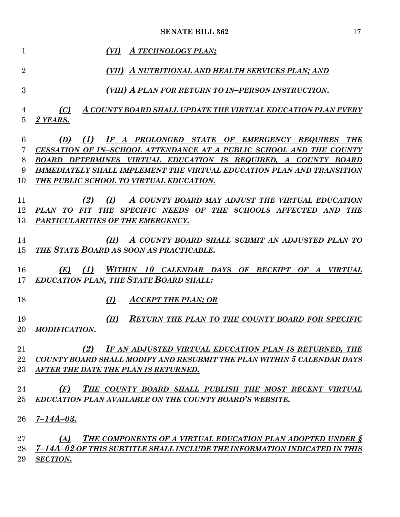| $\mathbf 1$    | (VI) A TECHNOLOGY PLAN;                                                   |
|----------------|---------------------------------------------------------------------------|
| $\overline{2}$ | (VII) A NUTRITIONAL AND HEALTH SERVICES PLAN; AND                         |
| 3              | (VIII) A PLAN FOR RETURN TO IN-PERSON INSTRUCTION.                        |
| 4              | (C)<br>A COUNTY BOARD SHALL UPDATE THE VIRTUAL EDUCATION PLAN EVERY       |
| 5              | 2 YEARS.                                                                  |
| 6              | (1)<br>IF A PROLONGED STATE OF EMERGENCY REQUIRES THE<br>(D)              |
| 7              | CESSATION OF IN-SCHOOL ATTENDANCE AT A PUBLIC SCHOOL AND THE COUNTY       |
| 8              | BOARD DETERMINES VIRTUAL EDUCATION IS REQUIRED, A COUNTY BOARD            |
| 9              | IMMEDIATELY SHALL IMPLEMENT THE VIRTUAL EDUCATION PLAN AND TRANSITION     |
| 10             | THE PUBLIC SCHOOL TO VIRTUAL EDUCATION.                                   |
|                |                                                                           |
| 11             | (2)<br>(I)<br>A COUNTY BOARD MAY ADJUST THE VIRTUAL EDUCATION             |
| 12             | PLAN TO FIT THE SPECIFIC NEEDS OF THE SCHOOLS AFFECTED AND THE            |
| 13             | PARTICULARITIES OF THE EMERGENCY.                                         |
|                |                                                                           |
| 14             | (II)<br>A COUNTY BOARD SHALL SUBMIT AN ADJUSTED PLAN TO                   |
| 15             | THE STATE BOARD AS SOON AS PRACTICABLE.                                   |
| 16             | WITHIN 10 CALENDAR DAYS OF RECEIPT OF A VIRTUAL<br>(1)<br>(E)             |
| 17             | <b>EDUCATION PLAN, THE STATE BOARD SHALL:</b>                             |
|                |                                                                           |
| 18             | (I)<br><b>ACCEPT THE PLAN; OR</b>                                         |
| 19             | (II)<br><b>RETURN THE PLAN TO THE COUNTY BOARD FOR SPECIFIC</b>           |
| 20             | <b>MODIFICATION.</b>                                                      |
|                |                                                                           |
| 21             | (2)<br>IF AN ADJUSTED VIRTUAL EDUCATION PLAN IS RETURNED, THE             |
| 22             | COUNTY BOARD SHALL MODIFY AND RESUBMIT THE PLAN WITHIN 5 CALENDAR DAYS    |
| $23\,$         | AFTER THE DATE THE PLAN IS RETURNED.                                      |
|                |                                                                           |
| 24             | (F)<br>THE COUNTY BOARD SHALL PUBLISH THE MOST RECENT VIRTUAL             |
| 25             | EDUCATION PLAN AVAILABLE ON THE COUNTY BOARD'S WEBSITE.                   |
| 26             | $7 - 14A - 03.$                                                           |
|                |                                                                           |
| $\rm 27$       | <b>THE COMPONENTS OF A VIRTUAL EDUCATION PLAN ADOPTED UNDER S</b><br>(A)  |
| 28             | 7–14A–02 OF THIS SUBTITLE SHALL INCLUDE THE INFORMATION INDICATED IN THIS |
| 29             | <b>SECTION.</b>                                                           |
|                |                                                                           |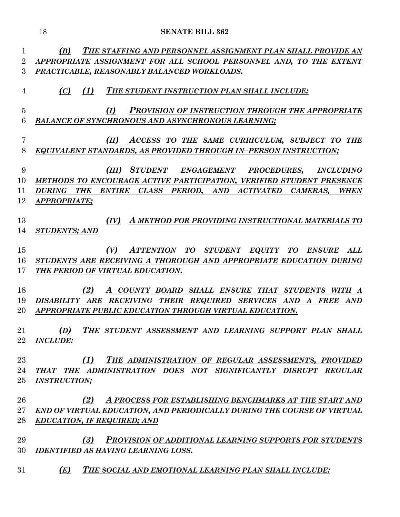| 1              | THE STAFFING AND PERSONNEL ASSIGNMENT PLAN SHALL PROVIDE AN<br>(B)                                            |
|----------------|---------------------------------------------------------------------------------------------------------------|
| $\overline{2}$ | APPROPRIATE ASSIGNMENT FOR ALL SCHOOL PERSONNEL AND, TO THE EXTENT                                            |
| 3              | PRACTICABLE, REASONABLY BALANCED WORKLOADS.                                                                   |
| 4              | $(C)$ $(1)$<br>THE STUDENT INSTRUCTION PLAN SHALL INCLUDE:                                                    |
| $\overline{5}$ | (I)<br><b>PROVISION OF INSTRUCTION THROUGH THE APPROPRIATE</b>                                                |
| 6              | <b>BALANCE OF SYNCHRONOUS AND ASYNCHRONOUS LEARNING;</b>                                                      |
| 7              | (II)<br>ACCESS TO THE SAME CURRICULUM, SUBJECT TO THE                                                         |
| 8              | <b>EQUIVALENT STANDARDS, AS PROVIDED THROUGH IN-PERSON INSTRUCTION;</b>                                       |
| 9              | (III) STUDENT ENGAGEMENT PROCEDURES, INCLUDING                                                                |
| 10             | <b>METHODS TO ENCOURAGE ACTIVE PARTICIPATION, VERIFIED STUDENT PRESENCE</b>                                   |
| 11             | <b>THE</b><br>CLASS PERIOD, AND ACTIVATED<br><b>DURING</b><br><b>ENTIRE</b><br><i><b>CAMERAS,</b></i><br>WHEN |
| 12             | <b>APPROPRIATE;</b>                                                                                           |
| 13             | A METHOD FOR PROVIDING INSTRUCTIONAL MATERIALS TO<br>(IV)                                                     |
| 14             | <b>STUDENTS; AND</b>                                                                                          |
|                |                                                                                                               |
| 15             | (V)<br>ATTENTION TO STUDENT EQUITY<br>TO<br><i>ENSURE</i><br>ALL                                              |
| 16             | STUDENTS ARE RECEIVING A THOROUGH AND APPROPRIATE EDUCATION DURING                                            |
| 17             | THE PERIOD OF VIRTUAL EDUCATION.                                                                              |
| 18             | (2)<br>A COUNTY BOARD SHALL ENSURE THAT STUDENTS WITH A                                                       |
| 19             | DISABILITY ARE RECEIVING THEIR REQUIRED SERVICES AND A FREE AND                                               |
| 20             | APPROPRIATE PUBLIC EDUCATION THROUGH VIRTUAL EDUCATION.                                                       |
|                |                                                                                                               |
| 21             | THE STUDENT ASSESSMENT AND LEARNING SUPPORT PLAN SHALL<br>(D)                                                 |
| 22             | <b>INCLUDE:</b>                                                                                               |
| 23             | THE ADMINISTRATION OF REGULAR ASSESSMENTS, PROVIDED<br>(1)                                                    |
| 24             | THAT THE ADMINISTRATION DOES NOT SIGNIFICANTLY DISRUPT REGULAR                                                |
| 25             | <b>INSTRUCTION;</b>                                                                                           |
|                |                                                                                                               |
| 26             | (2)<br>A PROCESS FOR ESTABLISHING BENCHMARKS AT THE START AND                                                 |
| $27\,$         | END OF VIRTUAL EDUCATION, AND PERIODICALLY DURING THE COURSE OF VIRTUAL                                       |
| 28             | <b>EDUCATION, IF REQUIRED; AND</b>                                                                            |
| 29             | <b>PROVISION OF ADDITIONAL LEARNING SUPPORTS FOR STUDENTS</b><br>(3)                                          |
| 30             | <b>IDENTIFIED AS HAVING LEARNING LOSS.</b>                                                                    |
| 31             | (E)<br>THE SOCIAL AND EMOTIONAL LEARNING PLAN SHALL INCLUDE:                                                  |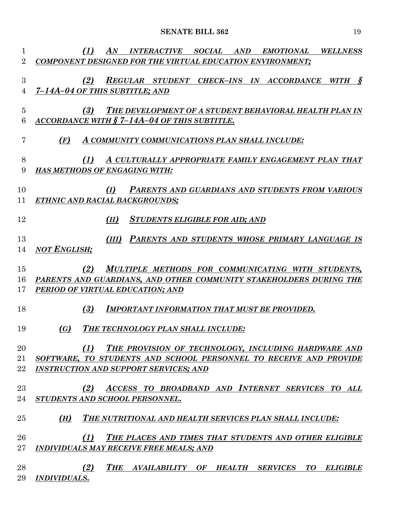| 1              | (1)<br>AN INTERACTIVE SOCIAL AND EMOTIONAL WELLNESS                                  |
|----------------|--------------------------------------------------------------------------------------|
| $\overline{2}$ | COMPONENT DESIGNED FOR THE VIRTUAL EDUCATION ENVIRONMENT;                            |
| 3              | (2)<br><b>REGULAR STUDENT CHECK-INS IN ACCORDANCE WITH §</b>                         |
| $\overline{4}$ | 7-14A-04 OF THIS SUBTITLE; AND                                                       |
|                |                                                                                      |
| $\overline{5}$ | (3)<br>THE DEVELOPMENT OF A STUDENT BEHAVIORAL HEALTH PLAN IN                        |
| 6              | ACCORDANCE WITH $\S$ 7-14A-04 OF THIS SUBTITLE.                                      |
| 7              | (F)<br>A COMMUNITY COMMUNICATIONS PLAN SHALL INCLUDE:                                |
| 8              | (1)<br>A CULTURALLY APPROPRIATE FAMILY ENGAGEMENT PLAN THAT                          |
| 9              | <b>HAS METHODS OF ENGAGING WITH:</b>                                                 |
|                |                                                                                      |
| 10             | (I)<br>PARENTS AND GUARDIANS AND STUDENTS FROM VARIOUS                               |
| 11             | ETHNIC AND RACIAL BACKGROUNDS;                                                       |
| 12             | <b>STUDENTS ELIGIBLE FOR AID; AND</b><br>(II)                                        |
|                |                                                                                      |
| 13             | PARENTS AND STUDENTS WHOSE PRIMARY LANGUAGE IS<br>(III)                              |
| 14             | <b>NOT ENGLISH;</b>                                                                  |
| 15             | (2)<br>MULTIPLE METHODS FOR COMMUNICATING WITH STUDENTS,                             |
| 16             | PARENTS AND GUARDIANS, AND OTHER COMMUNITY STAKEHOLDERS DURING THE                   |
| 17             | PERIOD OF VIRTUAL EDUCATION; AND                                                     |
| 18             | (3)<br><b>IMPORTANT INFORMATION THAT MUST BE PROVIDED.</b>                           |
| 19             | (G)<br>THE TECHNOLOGY PLAN SHALL INCLUDE:                                            |
|                |                                                                                      |
| 20             | (1)<br>THE PROVISION OF TECHNOLOGY, INCLUDING HARDWARE AND                           |
| 21             | SOFTWARE, TO STUDENTS AND SCHOOL PERSONNEL TO RECEIVE AND PROVIDE                    |
| 22             | <b>INSTRUCTION AND SUPPORT SERVICES; AND</b>                                         |
| 23             | ACCESS TO BROADBAND AND INTERNET SERVICES TO ALL<br>(2)                              |
| 24             | STUDENTS AND SCHOOL PERSONNEL.                                                       |
| $25\,$         | THE NUTRITIONAL AND HEALTH SERVICES PLAN SHALL INCLUDE:<br>(H)                       |
| 26             | THE PLACES AND TIMES THAT STUDENTS AND OTHER ELIGIBLE<br>(1)                         |
| $27\,$         | <b>INDIVIDUALS MAY RECEIVE FREE MEALS; AND</b>                                       |
|                |                                                                                      |
| 28             | (2)<br><b>THE</b><br>AVAILABILITY OF<br>HEALTH SERVICES TO<br><i><b>ELIGIBLE</b></i> |
| 29             | <i><b>INDIVIDUALS.</b></i>                                                           |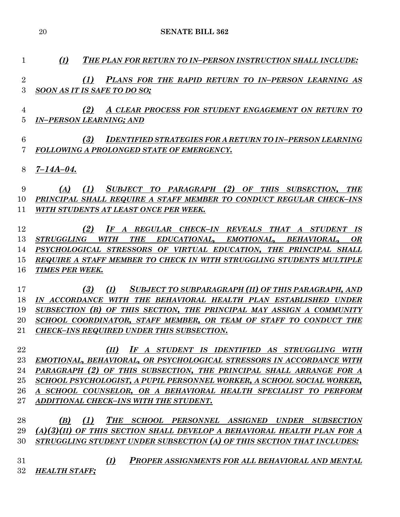*(I) THE PLAN FOR RETURN TO IN–PERSON INSTRUCTION SHALL INCLUDE:*

 *(1) PLANS FOR THE RAPID RETURN TO IN–PERSON LEARNING AS SOON AS IT IS SAFE TO DO SO;*

 *(2) A CLEAR PROCESS FOR STUDENT ENGAGEMENT ON RETURN TO IN–PERSON LEARNING; AND*

# *(3) IDENTIFIED STRATEGIES FOR A RETURN TO IN–PERSON LEARNING FOLLOWING A PROLONGED STATE OF EMERGENCY.*

# *7–14A–04.*

 *(A) (1) SUBJECT TO PARAGRAPH (2) OF THIS SUBSECTION, THE PRINCIPAL SHALL REQUIRE A STAFF MEMBER TO CONDUCT REGULAR CHECK–INS WITH STUDENTS AT LEAST ONCE PER WEEK.*

 *(2) IF A REGULAR CHECK–IN REVEALS THAT A STUDENT IS STRUGGLING WITH THE EDUCATIONAL, EMOTIONAL, BEHAVIORAL, OR PSYCHOLOGICAL STRESSORS OF VIRTUAL EDUCATION, THE PRINCIPAL SHALL REQUIRE A STAFF MEMBER TO CHECK IN WITH STRUGGLING STUDENTS MULTIPLE TIMES PER WEEK.*

 *(3) (I) SUBJECT TO SUBPARAGRAPH (II) OF THIS PARAGRAPH, AND IN ACCORDANCE WITH THE BEHAVIORAL HEALTH PLAN ESTABLISHED UNDER SUBSECTION (B) OF THIS SECTION, THE PRINCIPAL MAY ASSIGN A COMMUNITY SCHOOL COORDINATOR, STAFF MEMBER, OR TEAM OF STAFF TO CONDUCT THE CHECK–INS REQUIRED UNDER THIS SUBSECTION.*

 *(II) IF A STUDENT IS IDENTIFIED AS STRUGGLING WITH EMOTIONAL, BEHAVIORAL, OR PSYCHOLOGICAL STRESSORS IN ACCORDANCE WITH PARAGRAPH (2) OF THIS SUBSECTION, THE PRINCIPAL SHALL ARRANGE FOR A SCHOOL PSYCHOLOGIST, A PUPIL PERSONNEL WORKER, A SCHOOL SOCIAL WORKER, A SCHOOL COUNSELOR, OR A BEHAVIORAL HEALTH SPECIALIST TO PERFORM ADDITIONAL CHECK–INS WITH THE STUDENT.*

 *(B) (1) THE SCHOOL PERSONNEL ASSIGNED UNDER SUBSECTION (A)(3)(II) OF THIS SECTION SHALL DEVELOP A BEHAVIORAL HEALTH PLAN FOR A STRUGGLING STUDENT UNDER SUBSECTION (A) OF THIS SECTION THAT INCLUDES:*

 *(I) PROPER ASSIGNMENTS FOR ALL BEHAVIORAL AND MENTAL HEALTH STAFF;*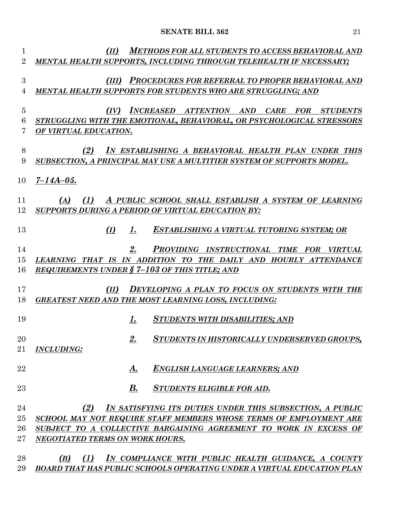| 1                | <b>METHODS FOR ALL STUDENTS TO ACCESS BEHAVIORAL AND</b><br>(II)       |
|------------------|------------------------------------------------------------------------|
| $\overline{2}$   | MENTAL HEALTH SUPPORTS, INCLUDING THROUGH TELEHEALTH IF NECESSARY;     |
|                  |                                                                        |
| $\boldsymbol{3}$ | (III) PROCEDURES FOR REFERRAL TO PROPER BEHAVIORAL AND                 |
| 4                | MENTAL HEALTH SUPPORTS FOR STUDENTS WHO ARE STRUGGLING; AND            |
|                  |                                                                        |
| $\overline{5}$   | INCREASED ATTENTION AND CARE FOR STUDENTS<br>(IV)                      |
| 6                | STRUGGLING WITH THE EMOTIONAL, BEHAVIORAL, OR PSYCHOLOGICAL STRESSORS  |
| 7                | OF VIRTUAL EDUCATION.                                                  |
|                  |                                                                        |
| 8                | (2)<br>IN ESTABLISHING A BEHAVIORAL HEALTH PLAN UNDER THIS             |
| 9                | SUBSECTION, A PRINCIPAL MAY USE A MULTITIER SYSTEM OF SUPPORTS MODEL.  |
| 10               | $7 - 14A - 05.$                                                        |
|                  |                                                                        |
| 11               | (A) (1) A PUBLIC SCHOOL SHALL ESTABLISH A SYSTEM OF LEARNING           |
| 12               | <b>SUPPORTS DURING A PERIOD OF VIRTUAL EDUCATION BY:</b>               |
|                  |                                                                        |
| 13               | (I)<br>ESTABLISHING A VIRTUAL TUTORING SYSTEM; OR<br>1.                |
|                  |                                                                        |
| 14               | 2.<br>PROVIDING INSTRUCTIONAL TIME FOR VIRTUAL                         |
| 15               | LEARNING THAT IS IN ADDITION TO THE DAILY AND HOURLY ATTENDANCE        |
| 16               | <b>REQUIREMENTS UNDER § 7-103 OF THIS TITLE; AND</b>                   |
|                  |                                                                        |
| 17               | (II)<br>DEVELOPING A PLAN TO FOCUS ON STUDENTS WITH THE                |
| 18               | <b>GREATEST NEED AND THE MOST LEARNING LOSS, INCLUDING:</b>            |
|                  |                                                                        |
| 19               | <b>STUDENTS WITH DISABILITIES; AND</b><br>1.                           |
| 20               | $\mathbf{Q}$<br>STUDENTS IN HISTORICALLY UNDERSERVED GROUPS,           |
| 21               | <b>INCLUDING:</b>                                                      |
|                  |                                                                        |
| 22               | <b>ENGLISH LANGUAGE LEARNERS; AND</b><br>A.                            |
|                  |                                                                        |
| 23               | В.<br><b>STUDENTS ELIGIBLE FOR AID.</b>                                |
|                  |                                                                        |
| 24               | (2)<br>IN SATISFYING ITS DUTIES UNDER THIS SUBSECTION, A PUBLIC        |
| 25               | SCHOOL MAY NOT REQUIRE STAFF MEMBERS WHOSE TERMS OF EMPLOYMENT ARE     |
| 26               | SUBJECT TO A COLLECTIVE BARGAINING AGREEMENT TO WORK IN EXCESS OF      |
| 27               | NEGOTIATED TERMS ON WORK HOURS.                                        |
|                  |                                                                        |
| 28               | (1)<br>(B)<br>IN COMPLIANCE WITH PUBLIC HEALTH GUIDANCE, A COUNTY      |
| 29               | BOARD THAT HAS PUBLIC SCHOOLS OPERATING UNDER A VIRTUAL EDUCATION PLAN |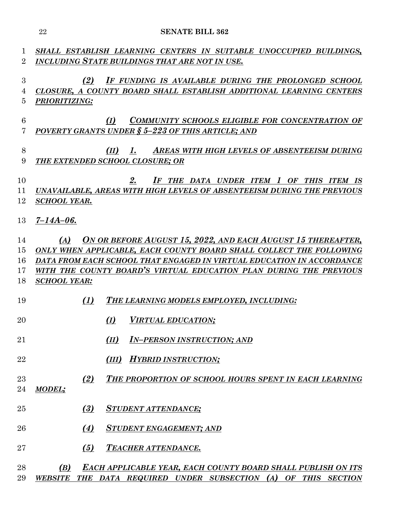| 1               | SHALL ESTABLISH LEARNING CENTERS IN SUITABLE UNOCCUPIED BUILDINGS,         |  |  |  |
|-----------------|----------------------------------------------------------------------------|--|--|--|
| $\overline{2}$  | INCLUDING STATE BUILDINGS THAT ARE NOT IN USE.                             |  |  |  |
|                 |                                                                            |  |  |  |
| 3               | (2)<br>IF FUNDING IS AVAILABLE DURING THE PROLONGED SCHOOL                 |  |  |  |
| $\overline{4}$  | CLOSURE, A COUNTY BOARD SHALL ESTABLISH ADDITIONAL LEARNING CENTERS        |  |  |  |
| $\overline{5}$  | <b>PRIORITIZING:</b>                                                       |  |  |  |
|                 |                                                                            |  |  |  |
| $6\phantom{.}6$ | <b>COMMUNITY SCHOOLS ELIGIBLE FOR CONCENTRATION OF</b><br>(I)              |  |  |  |
| 7               | POVERTY GRANTS UNDER § 5-223 OF THIS ARTICLE; AND                          |  |  |  |
|                 |                                                                            |  |  |  |
| 8               | AREAS WITH HIGH LEVELS OF ABSENTEEISM DURING<br>(II)<br>1.                 |  |  |  |
| 9               | THE EXTENDED SCHOOL CLOSURE; OR                                            |  |  |  |
|                 |                                                                            |  |  |  |
| 10              | 2.<br>IF THE DATA UNDER ITEM 1 OF THIS ITEM IS                             |  |  |  |
| 11              | UNAVAILABLE, AREAS WITH HIGH LEVELS OF ABSENTEEISM DURING THE PREVIOUS     |  |  |  |
| 12              | <b>SCHOOL YEAR.</b>                                                        |  |  |  |
|                 |                                                                            |  |  |  |
| 13              | $7 - 14A - 06.$                                                            |  |  |  |
|                 |                                                                            |  |  |  |
| 14              | ON OR BEFORE AUGUST 15, 2022, AND EACH AUGUST 15 THEREAFTER,<br>(A)        |  |  |  |
| 15              | ONLY WHEN APPLICABLE, EACH COUNTY BOARD SHALL COLLECT THE FOLLOWING        |  |  |  |
|                 |                                                                            |  |  |  |
| 16              | DATA FROM EACH SCHOOL THAT ENGAGED IN VIRTUAL EDUCATION IN ACCORDANCE      |  |  |  |
| 17              | WITH THE COUNTY BOARD'S VIRTUAL EDUCATION PLAN DURING THE PREVIOUS         |  |  |  |
| 18              | <b>SCHOOL YEAR:</b>                                                        |  |  |  |
|                 |                                                                            |  |  |  |
| 19              | (1)<br>THE LEARNING MODELS EMPLOYED, INCLUDING:                            |  |  |  |
|                 |                                                                            |  |  |  |
| 20              | (I)<br><b>VIRTUAL EDUCATION;</b>                                           |  |  |  |
|                 |                                                                            |  |  |  |
| 21              | (II)<br><b>IN-PERSON INSTRUCTION; AND</b>                                  |  |  |  |
|                 |                                                                            |  |  |  |
| 22              | (III) HYBRID INSTRUCTION;                                                  |  |  |  |
|                 |                                                                            |  |  |  |
| 23              | (2)<br>THE PROPORTION OF SCHOOL HOURS SPENT IN EACH LEARNING               |  |  |  |
| 24              | <b>MODEL;</b>                                                              |  |  |  |
|                 |                                                                            |  |  |  |
| 25              | (3)<br><b>STUDENT ATTENDANCE;</b>                                          |  |  |  |
|                 |                                                                            |  |  |  |
| 26              | (4)<br><b>STUDENT ENGAGEMENT; AND</b>                                      |  |  |  |
|                 |                                                                            |  |  |  |
| 27              | (5)<br>TEACHER ATTENDANCE.                                                 |  |  |  |
|                 |                                                                            |  |  |  |
| 28              | (B)<br><b>EACH APPLICABLE YEAR, EACH COUNTY BOARD SHALL PUBLISH ON ITS</b> |  |  |  |
| 29              | WEBSITE THE DATA REQUIRED UNDER SUBSECTION (A) OF THIS SECTION             |  |  |  |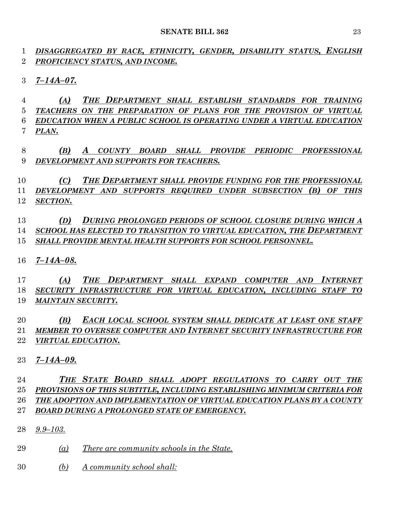*DISAGGREGATED BY RACE, ETHNICITY, GENDER, DISABILITY STATUS, ENGLISH PROFICIENCY STATUS, AND INCOME.*

*7–14A–07.*

 *(A) THE DEPARTMENT SHALL ESTABLISH STANDARDS FOR TRAINING TEACHERS ON THE PREPARATION OF PLANS FOR THE PROVISION OF VIRTUAL EDUCATION WHEN A PUBLIC SCHOOL IS OPERATING UNDER A VIRTUAL EDUCATION PLAN.*

 *(B) A COUNTY BOARD SHALL PROVIDE PERIODIC PROFESSIONAL DEVELOPMENT AND SUPPORTS FOR TEACHERS.*

 *(C) THE DEPARTMENT SHALL PROVIDE FUNDING FOR THE PROFESSIONAL DEVELOPMENT AND SUPPORTS REQUIRED UNDER SUBSECTION (B) OF THIS SECTION.*

 *(D) DURING PROLONGED PERIODS OF SCHOOL CLOSURE DURING WHICH A SCHOOL HAS ELECTED TO TRANSITION TO VIRTUAL EDUCATION, THE DEPARTMENT SHALL PROVIDE MENTAL HEALTH SUPPORTS FOR SCHOOL PERSONNEL.*

*7–14A–08.*

 *(A) THE DEPARTMENT SHALL EXPAND COMPUTER AND INTERNET SECURITY INFRASTRUCTURE FOR VIRTUAL EDUCATION, INCLUDING STAFF TO MAINTAIN SECURITY.*

 *(B) EACH LOCAL SCHOOL SYSTEM SHALL DEDICATE AT LEAST ONE STAFF MEMBER TO OVERSEE COMPUTER AND INTERNET SECURITY INFRASTRUCTURE FOR VIRTUAL EDUCATION.*

*7–14A–09.*

 *THE STATE BOARD SHALL ADOPT REGULATIONS TO CARRY OUT THE PROVISIONS OF THIS SUBTITLE, INCLUDING ESTABLISHING MINIMUM CRITERIA FOR THE ADOPTION AND IMPLEMENTATION OF VIRTUAL EDUCATION PLANS BY A COUNTY BOARD DURING A PROLONGED STATE OF EMERGENCY.*

- *9.9–103.*
- *(a) There are community schools in the State.*
- *(b) A community school shall:*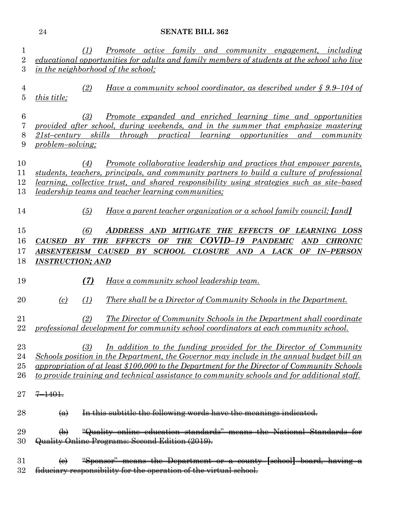| 1<br>$\overline{2}$<br>3 | <u>Promote</u> active family and community engagement, including<br>(1)<br>educational opportunities for adults and family members of students at the school who live<br>in the neighborhood of the school;                                                                                                                                                                      |
|--------------------------|----------------------------------------------------------------------------------------------------------------------------------------------------------------------------------------------------------------------------------------------------------------------------------------------------------------------------------------------------------------------------------|
| 4<br>5                   | Have a community school coordinator, as described under $\S$ 9.9–104 of<br>(2)<br><i>this title</i> ;                                                                                                                                                                                                                                                                            |
| 6<br>7<br>8<br>9         | <u>Promote</u> expanded and enriched learning time and opportunities<br>(3)<br>provided after school, during weekends, and in the summer that emphasize mastering<br><i>through practical</i><br>21st-century skills<br><i>learning</i> opportunities and<br>community<br>problem-solving;                                                                                       |
| 10<br>11<br>12<br>13     | Promote collaborative leadership and practices that empower parents,<br>(4)<br>students, teachers, principals, and community partners to build a culture of professional<br><u>learning, collective trust, and shared responsibility using strategies such as site-based</u><br><u>leadership teams and teacher learning communities;</u>                                        |
| 14                       | Have a parent teacher organization or a school family council; [and]<br>(5)                                                                                                                                                                                                                                                                                                      |
| 15<br>16<br>17<br>18     | (6)<br>MITIGATE THE EFFECTS OF LEARNING LOSS<br><b>ADDRESS AND</b><br>$COVID-19$<br><b>OF</b><br><b>THE</b><br><b>PANDEMIC</b><br><b>CAUSED</b><br><b>THE</b><br><b>EFFECTS</b><br><b>AND</b><br><b>CHRONIC</b><br>BY<br><b>ABSENTEEISM CAUSED</b><br><b>SCHOOL</b><br>$\boldsymbol{CLOSURE}$<br>AND<br>BY<br>A LACK<br><b>OF</b><br><b>IN-PERSON</b><br><b>INSTRUCTION; AND</b> |
| 19                       | (7)<br>Have a community school leadership team.                                                                                                                                                                                                                                                                                                                                  |
| 20                       | <u>There shall be a Director of Community Schools in the Department.</u><br>(c)<br>(1)                                                                                                                                                                                                                                                                                           |
| 21<br>22                 | The Director of Community Schools in the Department shall coordinate<br>(2)<br>professional development for community school coordinators at each community school.                                                                                                                                                                                                              |
| 23<br>24<br>25<br>26     | In addition to the funding provided for the Director of Community<br>(3)<br>Schools position in the Department, the Governor may include in the annual budget bill an<br>appropriation of at least \$100,000 to the Department for the Director of Community Schools<br>to provide training and technical assistance to community schools and for additional staff.              |
| 27                       | $7 - 1401$                                                                                                                                                                                                                                                                                                                                                                       |
| 28                       | In this subtitle the following words have the meanings indicated.<br>$\left( a\right)$                                                                                                                                                                                                                                                                                           |
| 29<br>30                 | "Quality online education standards" means the National Standards for<br>$\bigoplus$<br>Quality Online Programs: Second Edition (2019).                                                                                                                                                                                                                                          |
| 31<br>32                 | "Sponsor" means the Department or a county [school] board, having a<br>$\Theta$<br>fiduciary responsibility for the operation of the virtual school.                                                                                                                                                                                                                             |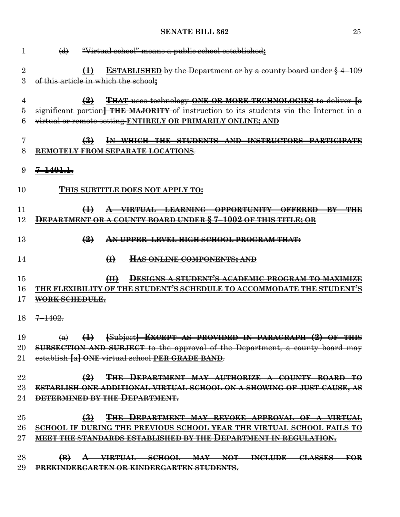| 1              | $\left(\mathbf{d}\right)$<br>"Virtual school" means a public school established:                         |
|----------------|----------------------------------------------------------------------------------------------------------|
| $\overline{2}$ | $\leftrightarrow$ ESTABLISHED by the Department or by a county board under $\&4-109$                     |
| 3              | of this article in which the school:                                                                     |
|                |                                                                                                          |
| 4              | <b>THAT uses technology ONE OR MORE TECHNOLOGIES</b> to deliver [a<br>$\leftrightarrow$                  |
| 5              | significant portion] THE MAJORITY of instruction to its students via the Internet in a                   |
| 6              | virtual or remote setting ENTIRELY OR PRIMARILY ONLINE; AND                                              |
|                |                                                                                                          |
| 7              | WHICH THE STUDENTS AND INSTRUCTORS PARTICIPATE<br>$\biguplus$                                            |
| 8              | REMOTELY FROM SEPARATE LOCATIONS.                                                                        |
|                |                                                                                                          |
| 9              | <del>7-1401.1.</del>                                                                                     |
|                |                                                                                                          |
| 10             | <b>THIS SUBTITLE DOES NOT APPLY TO:</b>                                                                  |
| 11             | $\leftrightarrow$<br>A VIRTUAL LEARNING OPPORTUNITY OFFERED<br><b>THE</b><br>$\rightarrow$ $\rightarrow$ |
| 12             | DEPARTMENT OR A COUNTY BOARD UNDER § 7-1002 OF THIS TITLE; OR                                            |
|                |                                                                                                          |
| 13             | $\left(\frac{9}{2}\right)$<br>AN UPPER-LEVEL HIGH SCHOOL PROGRAM THAT:                                   |
|                |                                                                                                          |
| 14             | $\bigoplus$<br>HAS ONLINE COMPONENTS; AND                                                                |
|                |                                                                                                          |
| 15             | <b>DESIGNS A STUDENT'S ACADEMIC PROGRAM TO MAXIMIZE</b><br>$\left( \boxplus \right)$                     |
| 16             | THE FLEXIBILITY OF THE STUDENT'S SCHEDULE TO ACCOMMODATE THE STUDENT'S                                   |
| 17             | WORK SCHEDULE.                                                                                           |
| 18             | <del>7-1402.</del>                                                                                       |
|                |                                                                                                          |
| 19             | <del>(a)</del> <del>(1)</del> [Subject] EXCEPT AS PROVIDED IN PARAGRAPH (2) OF THIS                      |
| 20             | SUBSECTION AND SUBJECT to the approval of the Department, a county board may                             |
| 21             | establish [a] ONE virtual school PER GRADE BAND.                                                         |
|                |                                                                                                          |
| 22             | THE DEPARTMENT MAY AUTHORIZE A COUNTY BOARD TO<br>$\bigoplus$                                            |
| 23             | ESTABLISH ONE ADDITIONAL VIRTUAL SCHOOL ON A SHOWING OF JUST CAUSE, AS                                   |
| 24             | DETERMINED BY THE DEPARTMENT.                                                                            |
|                |                                                                                                          |
| 25             | $\bigoplus$<br>THE DEPARTMENT MAY REVOKE APPROVAL OF A VIRTUAL                                           |
| 26             | <b>SCHOOL IF DURING THE PREVIOUS SCHOOL YEAR THE VIRTUAL SCHOOL FAILS TO</b>                             |
| 27             | <u>MEET THE STANDARDS ESTABLISHED BY THE DEPARTMENT IN REGULATION,</u>                                   |
| 28             | <del>A VIRTUAL SCHOOL MAY NOT INCLUDE CLASSES FOR</del><br>$\bigoplus$                                   |
| 29             | <del>PREKINDERGARTEN OR KINDERGARTEN STUDENTS,</del>                                                     |
|                |                                                                                                          |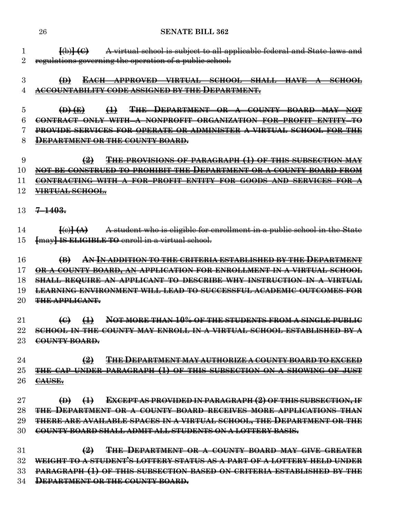**[**(b)**] (C)** A virtual school is subject to all applicable federal and State laws and regulations governing the operation of a public school.

### **(D) EACH APPROVED VIRTUAL SCHOOL SHALL HAVE A SCHOOL ACCOUNTABILITY CODE ASSIGNED BY THE DEPARTMENT.**

 **(D) (E) (1) THE DEPARTMENT OR A COUNTY BOARD MAY NOT CONTRACT ONLY WITH A NONPROFIT ORGANIZATION FOR–PROFIT ENTITY TO PROVIDE SERVICES FOR OPERATE OR ADMINISTER A VIRTUAL SCHOOL FOR THE DEPARTMENT OR THE COUNTY BOARD.**

## **(2) THE PROVISIONS OF PARAGRAPH (1) OF THIS SUBSECTION MAY NOT BE CONSTRUED TO PROHIBIT THE DEPARTMENT OR A COUNTY BOARD FROM CONTRACTING WITH A FOR–PROFIT ENTITY FOR GOODS AND SERVICES FOR A VIRTUAL SCHOOL.**

**7–1403.**

 **[**(c)**] (A)** A student who is eligible for enrollment in a public school in the State **[**may**] IS ELIGIBLE TO** enroll in a virtual school.

### **(B) AN IN ADDITION TO THE CRITERIA ESTABLISHED BY THE DEPARTMENT OR A COUNTY BOARD, AN APPLICATION FOR ENROLLMENT IN A VIRTUAL SCHOOL SHALL REQUIRE AN APPLICANT TO DESCRIBE WHY INSTRUCTION IN A VIRTUAL LEARNING ENVIRONMENT WILL LEAD TO SUCCESSFUL ACADEMIC OUTCOMES FOR THE APPLICANT.**

 **(C) (1) NOT MORE THAN 10% OF THE STUDENTS FROM A SINGLE PUBLIC SCHOOL IN THE COUNTY MAY ENROLL IN A VIRTUAL SCHOOL ESTABLISHED BY A COUNTY BOARD.**

 **(2) THE DEPARTMENT MAY AUTHORIZE A COUNTY BOARD TO EXCEED THE CAP UNDER PARAGRAPH (1) OF THIS SUBSECTION ON A SHOWING OF JUST CAUSE.**

 **(D) (1) EXCEPT AS PROVIDED IN PARAGRAPH (2) OF THIS SUBSECTION, IF THE DEPARTMENT OR A COUNTY BOARD RECEIVES MORE APPLICATIONS THAN THERE ARE AVAILABLE SPACES IN A VIRTUAL SCHOOL, THE DEPARTMENT OR THE COUNTY BOARD SHALL ADMIT ALL STUDENTS ON A LOTTERY BASIS.**

 **(2) THE DEPARTMENT OR A COUNTY BOARD MAY GIVE GREATER WEIGHT TO A STUDENT'S LOTTERY STATUS AS A PART OF A LOTTERY HELD UNDER PARAGRAPH (1) OF THIS SUBSECTION BASED ON CRITERIA ESTABLISHED BY THE DEPARTMENT OR THE COUNTY BOARD.**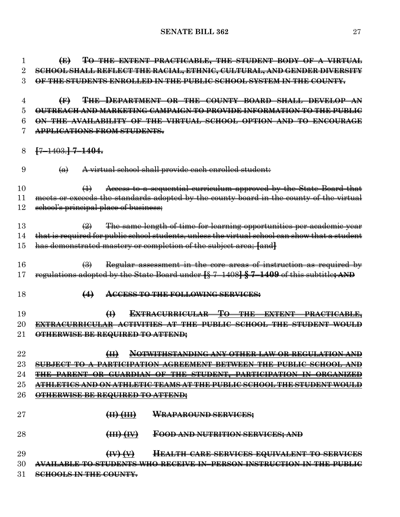| 1      | <del>TO THE EXTENT PRACTICABLE, THE STUDENT BODY OF A VIRTUAL</del><br>$\bigoplus$                                                  |
|--------|-------------------------------------------------------------------------------------------------------------------------------------|
| 2      | SCHOOL SHALL REFLECT THE RACIAL, ETHNIC, CULTURAL, AND GENDER DIVERSITY                                                             |
| 3      | OF THE STUDENTS ENROLLED IN THE PUBLIC SCHOOL SYSTEM IN THE COUNTY.                                                                 |
| 4      | THE DEPARTMENT OR THE COUNTY BOARD SHALL DEVELOP AN<br>$\bigoplus$                                                                  |
| 5      | <u>OUTREACH AND MARKETING CAMPAIGN TO PROVIDE INFORMATION TO THE PUBLIC</u>                                                         |
| 6      | ON THE AVAILABILITY OF THE VIRTUAL SCHOOL OPTION AND TO ENCOURAGE                                                                   |
|        | APPLICATIONS FROM STUDENTS.                                                                                                         |
| 8      | <del>[7-1403.] 7-1404.</del>                                                                                                        |
|        |                                                                                                                                     |
| 9      | A virtual school shall provide each enrolled student:<br>$\leftrightarrow$                                                          |
| 10     | Access to a sequential curriculum approved by the State Board that<br>$\leftrightarrow$                                             |
| 11     | meets or exceeds the standards adopted by the county board in the county of the virtual                                             |
| 12     | school's principal place of business;                                                                                               |
| 13     | The same length of time for learning opportunities per academic year<br>$\leftrightarrow$                                           |
| 14     | that is required for public school students, unless the virtual school can show that a student                                      |
| 15     | has demonstrated mastery or completion of the subject area; [and]                                                                   |
| 16     | Regular assessment in the core areas of instruction as required by<br>$\leftrightarrow$                                             |
| 17     | regulations adopted by the State Board under $\frac{5}{3}$ 7-1408 $\frac{5}{3}$ 7-1409 of this subtitle; AND                        |
| 18     | <b>ACCESS TO THE FOLLOWING SERVICES:</b><br>$\leftrightarrow$                                                                       |
| 19     | EXTRACURRICULAR TO THE EXTENT PRACTICABLE,<br>$\bigoplus$                                                                           |
| $20\,$ | <b>EXTRACURRICULAR ACTIVITIES AT THE PUBLIC SCHOOL THE STUDENT WOULD</b>                                                            |
| 21     | OTHERWISE BE REQUIRED TO ATTEND;                                                                                                    |
| 22     | NOTWITHSTANDING ANY OTHER LAW OR REGULATION AND<br>H                                                                                |
| $23\,$ | SUBJECT TO A PARTICIPATION AGREEMENT BETWEEN THE PUBLIC SCHOOL AND                                                                  |
| 24     | <del>THE PARENT OR GUARDIAN OF THE STUDENT, PARTICIPATION IN ORGANIZED</del>                                                        |
| $25\,$ | <del>ATIILETICS AND ON ATIILETIC TEAMS AT THE PUBLIC SCHOOL THE STUDENT WOULD</del>                                                 |
| $26\,$ | OTHERWISE BE REQUIRED TO ATTEND;                                                                                                    |
| $27\,$ | $\overline{(\text{H})^2(\text{H})^2}$<br><b>WRAPAROUND SERVICES;</b>                                                                |
| 28     | FOOD AND NUTRITION SERVICES; AND<br>$\overline{\mathbf{H}}$ $\overline{\mathbf{H}}$ $\overline{\mathbf{H}}$ $\overline{\mathbf{H}}$ |
| 29     | $(\mathbf{W}) (\mathbf{V})$<br><b>HEALTH CARE SERVICES EQUIVALENT TO SERVICES</b>                                                   |
| 30     | <del>AVAILABLE TO STUDENTS WHO RECEIVE IN-PERSON INSTRUCTION IN THE PUBLIC</del>                                                    |
| 31     | <b>SCHOOLS IN THE COUNTY.</b>                                                                                                       |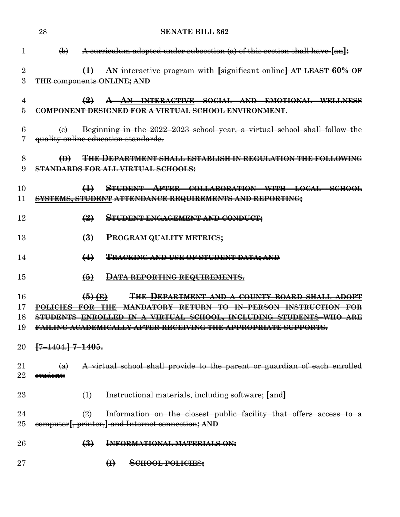|              | 28                                     | <b>SENATE BILL 362</b>                                                                                                         |
|--------------|----------------------------------------|--------------------------------------------------------------------------------------------------------------------------------|
| 1            | $\bigoplus$                            | A curriculum adopted under subsection (a) of this section shall have [an]:                                                     |
| 2<br>3       |                                        | AN interactive program with [significant online] AT LEAST 60% OF<br>$\bigoplus$<br><b>THE components ONLINE; AND</b>           |
| 4<br>5       |                                        | $\left(2\right)$<br>A AN INTERACTIVE SOCIAL AND EMOTIONAL WELLNESS<br>COMPONENT DESIGNED FOR A VIRTUAL SCHOOL ENVIRONMENT.     |
| 6            | $\Theta$                               | Beginning in the 2022-2023 school year, a virtual school shall follow the<br>quality online education standards.               |
| 8<br>9       | $\bigoplus$                            | <b>THE DEPARTMENT SHALL ESTABLISH IN REGULATION THE FOLLOWING</b><br><b>STANDARDS FOR ALL VIRTUAL SCHOOLS:</b>                 |
| 10<br>11     |                                        | $\bigoplus$<br><b>STUDENT AFTER COLLABORATION WITH LOCAL SCHOOL</b><br>SYSTEMS, STUDENT ATTENDANCE REQUIREMENTS AND REPORTING; |
| 12           |                                        | $\left( \frac{9}{2} \right)$<br><b>STUDENT ENGAGEMENT AND CONDUCT;</b>                                                         |
| 13           |                                        | $\biguplus$<br>PROGRAM QUALITY METRICS;                                                                                        |
| 14           |                                        | <b>TRACKING AND USE OF STUDENT DATA; AND</b><br>$\leftrightarrow$                                                              |
| 15           |                                        | $\left(5\right)$<br>DATA REPORTING REQUIREMENTS.                                                                               |
| 16           |                                        | $\left( 5 \right)$ $\left($ E)<br><del>THE DEPARTMENT AND A COUNTY BOARD SHALL ADOPT</del>                                     |
| 17           | POLICIES FOR THE                       | <b>MANDATORY RETURN TO IN-PERSON INSTRUCTION FOR</b>                                                                           |
| 18           |                                        | STUDENTS ENROLLED IN A VIRTUAL SCHOOL, INCLUDING STUDENTS WHO ARE                                                              |
| 19           |                                        | <b>FAILING ACADEMICALLY AFTER RECEIVING THE APPROPRIATE SUPPORTS.</b>                                                          |
|              | 20 <del>[7-1404.] <b>7-1405.</b></del> |                                                                                                                                |
| 21<br>$22\,$ | $\left( a\right)$<br>student:          | A virtual school shall provide to the parent or guardian of each enrolled                                                      |
| 23           |                                        | $\leftrightarrow$<br>Instructional materials, including software; [and]                                                        |
| 24           |                                        | $\left(\frac{1}{2}\right)$<br>Information on the closest public facility that offers access to a                               |
| 25           |                                        | computer[, printer,] and Internet connection; AND                                                                              |
| 26           |                                        | $\left(\frac{3}{2}\right)$<br><b>INFORMATIONAL MATERIALS ON:</b>                                                               |
| $27\,$       |                                        | $\bigoplus$<br><b>SCHOOL POLICIES;</b>                                                                                         |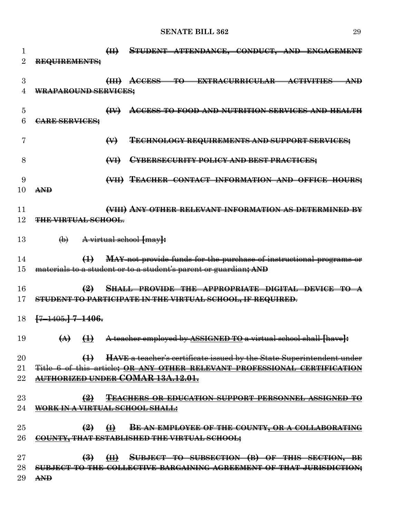| 1      |                                                                           | H                                                   |  | STUDENT ATTENDANCE, CONDUCT, AND ENGAGEMENT                                                           |  |  |
|--------|---------------------------------------------------------------------------|-----------------------------------------------------|--|-------------------------------------------------------------------------------------------------------|--|--|
| 2      | REQUIREMENTS;                                                             |                                                     |  |                                                                                                       |  |  |
| 3      |                                                                           |                                                     |  | (III) ACCESS TO EXTRACURRICULAR ACTIVITIES AND                                                        |  |  |
| 4      | WRAPAROUND SERVICES;                                                      |                                                     |  |                                                                                                       |  |  |
|        |                                                                           |                                                     |  |                                                                                                       |  |  |
| 5      |                                                                           | $H_{\text{H}}$                                      |  | ACCESS TO FOOD AND NUTRITION SERVICES AND HEALTH                                                      |  |  |
| 6      | CARE SERVICES;                                                            |                                                     |  |                                                                                                       |  |  |
|        |                                                                           |                                                     |  |                                                                                                       |  |  |
| 7      |                                                                           | $\leftrightarrow$                                   |  | <b>TECHNOLOGY REQUIREMENTS AND SUPPORT SERVICES;</b>                                                  |  |  |
| 8      |                                                                           | $\left(\frac{1}{2} \right)$                         |  | <b>CYBERSECURITY POLICY AND BEST PRACTICES;</b>                                                       |  |  |
|        |                                                                           |                                                     |  |                                                                                                       |  |  |
| 9      |                                                                           |                                                     |  | (VII) TEACHER CONTACT INFORMATION AND OFFICE HOURS;                                                   |  |  |
| 10     | <b>AND</b>                                                                |                                                     |  |                                                                                                       |  |  |
|        |                                                                           |                                                     |  |                                                                                                       |  |  |
| 11     |                                                                           |                                                     |  | (VIII) ANY OTHER RELEVANT INFORMATION AS DETERMINED                                                   |  |  |
| 12     | <b>THE VIRTUAL SCHOOL.</b>                                                |                                                     |  |                                                                                                       |  |  |
|        |                                                                           |                                                     |  |                                                                                                       |  |  |
| 13     |                                                                           | $\leftrightarrow$ A virtual school ${m\rightarrow}$ |  |                                                                                                       |  |  |
| 14     |                                                                           | $\leftrightarrow$                                   |  | <b>MAY</b> not provide funds for the purchase of instructional programs or                            |  |  |
| 15     | materials to a student or to a student's parent or guardian; AND          |                                                     |  |                                                                                                       |  |  |
|        |                                                                           |                                                     |  |                                                                                                       |  |  |
| 16     |                                                                           | $\left(2\right)$                                    |  | SHALL PROVIDE THE APPROPRIATE DIGITAL DEVICE TO A                                                     |  |  |
| 17     | <b>STUDENT TO PARTICIPATE IN THE VIRTUAL SCHOOL, IF REQUIRED.</b>         |                                                     |  |                                                                                                       |  |  |
|        |                                                                           |                                                     |  |                                                                                                       |  |  |
| 18     | <del>[7-1405.] 7-1406.</del>                                              |                                                     |  |                                                                                                       |  |  |
|        |                                                                           |                                                     |  |                                                                                                       |  |  |
| 19     |                                                                           |                                                     |  | $\overline{A}$ $\overline{A}$ A teacher employed by <u>ASSIGNED TO</u> a virtual school shall [have]: |  |  |
| 20     |                                                                           | $\leftrightarrow$                                   |  | HAVE a teacher's certificate issued by the State Superintendent under                                 |  |  |
| 21     | Title 6 of this article; OR ANY OTHER RELEVANT PROFESSIONAL CERTIFICATION |                                                     |  |                                                                                                       |  |  |
| 22     | AUTHORIZED UNDER COMAR 13A.12.01.                                         |                                                     |  |                                                                                                       |  |  |
|        |                                                                           |                                                     |  |                                                                                                       |  |  |
| 23     |                                                                           | $\left( \frac{9}{2} \right)$                        |  | TEACHERS OR EDUCATION SUPPORT PERSONNEL ASSIGNED TO                                                   |  |  |
| 24     | WORK IN A VIRTUAL SCHOOL SHALL:                                           |                                                     |  |                                                                                                       |  |  |
|        |                                                                           |                                                     |  |                                                                                                       |  |  |
| 25     |                                                                           | $\left( \frac{9}{2} \right)$<br>$\bigoplus$         |  | BE AN EMPLOYEE OF THE COUNTY, OR A COLLABORATING                                                      |  |  |
| 26     | COUNTY, THAT ESTABLISHED THE VIRTUAL SCHOOL;                              |                                                     |  |                                                                                                       |  |  |
| $27\,$ |                                                                           | $\left(\frac{3}{2}\right)$                          |  | (H) SUBJECT TO SUBSECTION (B) OF THIS SECTION, BE                                                     |  |  |
| 28     | SUBJECT TO THE COLLECTIVE BARGAINING AGREEMENT OF THAT JURISDICTION;      |                                                     |  |                                                                                                       |  |  |
| 29     | <b>AND</b>                                                                |                                                     |  |                                                                                                       |  |  |
|        |                                                                           |                                                     |  |                                                                                                       |  |  |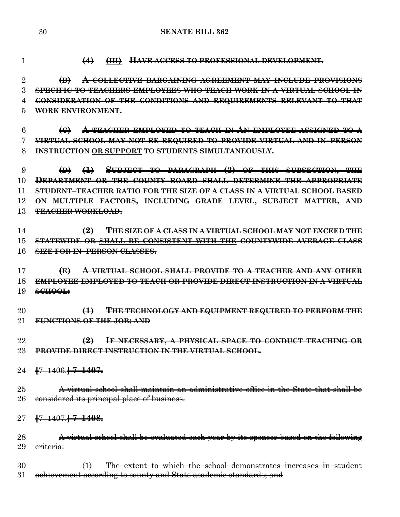```
30 SENATE BILL 362
```
**(4) (III) HAVE ACCESS TO PROFESSIONAL DEVELOPMENT**.

 **(B) A COLLECTIVE BARGAINING AGREEMENT MAY INCLUDE PROVISIONS SPECIFIC TO TEACHERS EMPLOYEES WHO TEACH WORK IN A VIRTUAL SCHOOL IN CONSIDERATION OF THE CONDITIONS AND REQUIREMENTS RELEVANT TO THAT WORK ENVIRONMENT.**

 **(C) A TEACHER EMPLOYED TO TEACH IN AN EMPLOYEE ASSIGNED TO A VIRTUAL SCHOOL MAY NOT BE REQUIRED TO PROVIDE VIRTUAL AND IN–PERSON INSTRUCTION OR SUPPORT TO STUDENTS SIMULTANEOUSLY.**

 **(D) (1) SUBJECT TO PARAGRAPH (2) OF THIS SUBSECTION, THE DEPARTMENT OR THE COUNTY BOARD SHALL DETERMINE THE APPROPRIATE STUDENT–TEACHER RATIO FOR THE SIZE OF A CLASS IN A VIRTUAL SCHOOL BASED ON MULTIPLE FACTORS, INCLUDING GRADE LEVEL, SUBJECT MATTER, AND TEACHER WORKLOAD.**

 **(2) THE SIZE OF A CLASS IN A VIRTUAL SCHOOL MAY NOT EXCEED THE STATEWIDE OR SHALL BE CONSISTENT WITH THE COUNTYWIDE AVERAGE CLASS SIZE FOR IN–PERSON CLASSES.**

 **(E) A VIRTUAL SCHOOL SHALL PROVIDE TO A TEACHER AND ANY OTHER EMPLOYEE EMPLOYED TO TEACH OR PROVIDE DIRECT INSTRUCTION IN A VIRTUAL SCHOOL:**

 **(1) THE TECHNOLOGY AND EQUIPMENT REQUIRED TO PERFORM THE FUNCTIONS OF THE JOB; AND**

 **(2) IF NECESSARY, A PHYSICAL SPACE TO CONDUCT TEACHING OR PROVIDE DIRECT INSTRUCTION IN THE VIRTUAL SCHOOL.**

**[**7–1406.**] 7–1407.**

 A virtual school shall maintain an administrative office in the State that shall be 26 considered its principal place of business.

**[**7–1407.**] 7–1408.**

28 A virtual school shall be evaluated each year by its sponsor based on the following criteria:

 (1) The extent to which the school demonstrates increases in student achievement according to county and State academic standards; and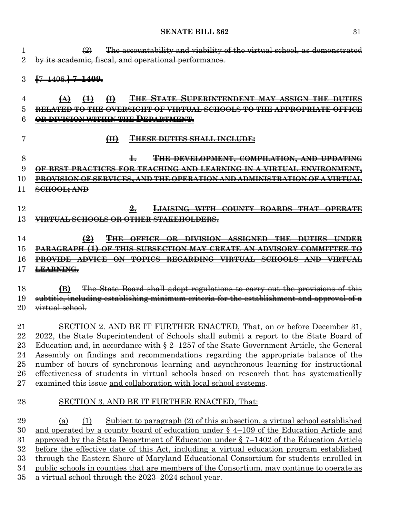| 1        | The accountability and viability of the virtual school, as demonstrated<br>$\left(\frac{2}{2}\right)$                                                                              |
|----------|------------------------------------------------------------------------------------------------------------------------------------------------------------------------------------|
| 2        | by its academic, fiscal, and operational performance.                                                                                                                              |
|          |                                                                                                                                                                                    |
| 3        | $-1408$ . $-1409$ .                                                                                                                                                                |
|          |                                                                                                                                                                                    |
| 4        | <b>THE STATE SUPERINTENDENT MAY ASSIGN THE DUTIES</b><br>$\bigoplus$<br>$\bigoplus$<br>$\leftrightarrow$                                                                           |
| 5        | RELATED TO THE OVERSIGHT OF VIRTUAL SCHOOLS TO THE APPROPRIATE OFFICE                                                                                                              |
| 6        | OR DIVISION WITHIN THE DEPARTMENT.                                                                                                                                                 |
|          |                                                                                                                                                                                    |
| 7        | $\left( \mathrm{H} \right)$<br><b>THESE DUTIES SHALL INCLUDE:</b>                                                                                                                  |
|          |                                                                                                                                                                                    |
| 8        | THE DEVELOPMENT, COMPILATION, AND UPDATING                                                                                                                                         |
| 9        | OF BEST PRACTICES FOR TEACHING AND LEARNING IN A VIRTUAL ENVIRONMENT,                                                                                                              |
| 10       | PROVISION OF SERVICES, AND THE OPERATION AND ADMINISTRATION OF A VIRTUAL                                                                                                           |
| 11       | <b>SCHOOL; AND</b>                                                                                                                                                                 |
|          |                                                                                                                                                                                    |
| 12       | <del>2.</del><br><b>LIAISING WITH COUNTY BOARDS THAT OPERATE</b>                                                                                                                   |
| 13       | VIRTUAL SCHOOLS OR OTHER STAKEHOLDERS.                                                                                                                                             |
|          |                                                                                                                                                                                    |
| 14       | $\left( \frac{9}{2} \right)$<br><b>THE OFFICE OR DIVISION ASSIGNED THE DUTIES UNDER</b>                                                                                            |
| 15       | <b>PARAGRAPH (1) OF THIS SUBSECTION MAY CREATE AN ADVISORY COMMITTEE TO</b>                                                                                                        |
| 16       | PROVIDE ADVICE ON TOPICS REGARDING VIRTUAL SCHOOLS AND VIRTUAL                                                                                                                     |
| 17       | <b>LEARNING.</b>                                                                                                                                                                   |
|          |                                                                                                                                                                                    |
| 18       | The State Board shall adopt regulations to carry out the provisions of this<br>$\bigoplus$                                                                                         |
| 19       | subtitle, including establishing minimum criteria for the establishment and approval of a                                                                                          |
| 20       | <del>virtual school.</del>                                                                                                                                                         |
|          |                                                                                                                                                                                    |
| 21       | SECTION 2. AND BE IT FURTHER ENACTED, That, on or before December 31,                                                                                                              |
| 22       | 2022, the State Superintendent of Schools shall submit a report to the State Board of                                                                                              |
| 23       | Education and, in accordance with $\S 2-1257$ of the State Government Article, the General                                                                                         |
| 24       | Assembly on findings and recommendations regarding the appropriate balance of the                                                                                                  |
| $25\,$   | number of hours of synchronous learning and asynchronous learning for instructional                                                                                                |
| 26       | effectiveness of students in virtual schools based on research that has systematically                                                                                             |
| $27\,$   | examined this issue and collaboration with local school systems.                                                                                                                   |
|          |                                                                                                                                                                                    |
| 28       | SECTION 3. AND BE IT FURTHER ENACTED, That:                                                                                                                                        |
|          |                                                                                                                                                                                    |
| 29       | Subject to paragraph (2) of this subsection, a virtual school established<br>(a)<br>(1)                                                                                            |
| 30       | and operated by a county board of education under $\S$ 4-109 of the Education Article and                                                                                          |
| 31       | approved by the State Department of Education under $\S$ 7-1402 of the Education Article                                                                                           |
| 32       | before the effective date of this Act, including a virtual education program established                                                                                           |
|          |                                                                                                                                                                                    |
| 33<br>34 | through the Eastern Shore of Maryland Educational Consortium for students enrolled in<br>public schools in counties that are members of the Consortium, may continue to operate as |
|          |                                                                                                                                                                                    |

a virtual school through the 2023–2024 school year.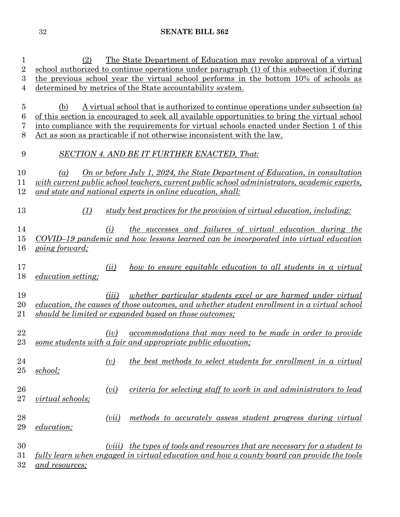| $\mathbf 1$<br>$\overline{2}$ | (2)                                                                                                                                                                               |                | The State Department of Education may revoke approval of a virtual                            |  |  |  |
|-------------------------------|-----------------------------------------------------------------------------------------------------------------------------------------------------------------------------------|----------------|-----------------------------------------------------------------------------------------------|--|--|--|
|                               | school authorized to continue operations under paragraph (1) of this subsection if during<br>the previous school year the virtual school performs in the bottom 10% of schools as |                |                                                                                               |  |  |  |
| 3                             |                                                                                                                                                                                   |                |                                                                                               |  |  |  |
| $\overline{4}$                |                                                                                                                                                                                   |                | determined by metrics of the State accountability system.                                     |  |  |  |
| $\overline{5}$                | (b)                                                                                                                                                                               |                | A virtual school that is authorized to continue operations under subsection (a)               |  |  |  |
| 6                             |                                                                                                                                                                                   |                | of this section is encouraged to seek all available opportunities to bring the virtual school |  |  |  |
|                               |                                                                                                                                                                                   |                |                                                                                               |  |  |  |
| 7                             |                                                                                                                                                                                   |                | into compliance with the requirements for virtual schools enacted under Section 1 of this     |  |  |  |
| 8                             |                                                                                                                                                                                   |                | Act as soon as practicable if not otherwise inconsistent with the law.                        |  |  |  |
| 9                             |                                                                                                                                                                                   |                | <b>SECTION 4. AND BE IT FURTHER ENACTED, That:</b>                                            |  |  |  |
| 10                            | $\left( a\right)$                                                                                                                                                                 |                | On or before July 1, 2024, the State Department of Education, in consultation                 |  |  |  |
| 11                            |                                                                                                                                                                                   |                | with current public school teachers, current public school administrators, academic experts,  |  |  |  |
| 12                            |                                                                                                                                                                                   |                | and state and national experts in online education, shall:                                    |  |  |  |
|                               |                                                                                                                                                                                   |                |                                                                                               |  |  |  |
| 13                            | (1)                                                                                                                                                                               |                | study best practices for the provision of virtual education, including:                       |  |  |  |
| 14                            |                                                                                                                                                                                   | (i)            | the successes and failures of virtual education during the                                    |  |  |  |
| 15                            |                                                                                                                                                                                   |                | COVID-19 pandemic and how lessons learned can be incorporated into virtual education          |  |  |  |
| 16                            | going forward;                                                                                                                                                                    |                |                                                                                               |  |  |  |
|                               |                                                                                                                                                                                   |                |                                                                                               |  |  |  |
| 17                            |                                                                                                                                                                                   | (ii)           | <u>how to ensure equitable education to all students in a virtual</u>                         |  |  |  |
| 18                            | education setting;                                                                                                                                                                |                |                                                                                               |  |  |  |
|                               |                                                                                                                                                                                   |                |                                                                                               |  |  |  |
| 19                            |                                                                                                                                                                                   | ( <i>iii</i> ) | whether particular students excel or are harmed under virtual                                 |  |  |  |
| 20                            |                                                                                                                                                                                   |                | education, the causes of those outcomes, and whether student enrollment in a virtual school   |  |  |  |
| 21                            |                                                                                                                                                                                   |                | should be limited or expanded based on those outcomes;                                        |  |  |  |
|                               |                                                                                                                                                                                   |                |                                                                                               |  |  |  |
| 22                            |                                                                                                                                                                                   | (iv)           | <u>accommodations that may need to be made in order to provide</u>                            |  |  |  |
| 23                            |                                                                                                                                                                                   |                | some students with a fair and appropriate public education;                                   |  |  |  |
|                               |                                                                                                                                                                                   |                |                                                                                               |  |  |  |
|                               |                                                                                                                                                                                   |                |                                                                                               |  |  |  |
| 24                            |                                                                                                                                                                                   | (v)            | <i>the best methods to select students for enrollment in a virtual</i>                        |  |  |  |
| $25\,$                        | school;                                                                                                                                                                           |                |                                                                                               |  |  |  |
|                               |                                                                                                                                                                                   |                |                                                                                               |  |  |  |
| 26                            |                                                                                                                                                                                   | (vi)           | <i>criteria for selecting staff to work in and administrators to lead</i>                     |  |  |  |
| $27\,$                        | virtual schools:                                                                                                                                                                  |                |                                                                                               |  |  |  |
|                               |                                                                                                                                                                                   |                |                                                                                               |  |  |  |
| 28                            |                                                                                                                                                                                   | (vii)          | methods to accurately assess student progress during virtual                                  |  |  |  |
| 29                            | education;                                                                                                                                                                        |                |                                                                                               |  |  |  |
|                               |                                                                                                                                                                                   |                |                                                                                               |  |  |  |
| 30                            |                                                                                                                                                                                   | (viii)         | <i>the types of tools and resources that are necessary for a student to</i>                   |  |  |  |
| $31\,$                        |                                                                                                                                                                                   |                | fully learn when engaged in virtual education and how a county board can provide the tools    |  |  |  |
| $32\,$                        | <u>and resources;</u>                                                                                                                                                             |                |                                                                                               |  |  |  |